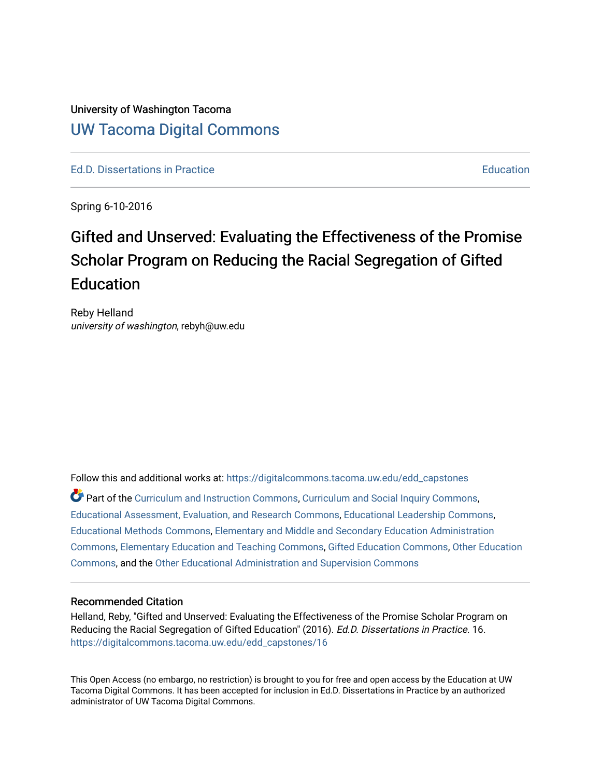# University of Washington Tacoma [UW Tacoma Digital Commons](https://digitalcommons.tacoma.uw.edu/)

[Ed.D. Dissertations in Practice](https://digitalcommons.tacoma.uw.edu/edd_capstones) [Education](https://digitalcommons.tacoma.uw.edu/education) Control of the Education Education Education

Spring 6-10-2016

# Gifted and Unserved: Evaluating the Effectiveness of the Promise Scholar Program on Reducing the Racial Segregation of Gifted **Education**

Reby Helland university of washington, rebyh@uw.edu

Follow this and additional works at: [https://digitalcommons.tacoma.uw.edu/edd\\_capstones](https://digitalcommons.tacoma.uw.edu/edd_capstones?utm_source=digitalcommons.tacoma.uw.edu%2Fedd_capstones%2F16&utm_medium=PDF&utm_campaign=PDFCoverPages)

Part of the [Curriculum and Instruction Commons,](http://network.bepress.com/hgg/discipline/786?utm_source=digitalcommons.tacoma.uw.edu%2Fedd_capstones%2F16&utm_medium=PDF&utm_campaign=PDFCoverPages) [Curriculum and Social Inquiry Commons,](http://network.bepress.com/hgg/discipline/1038?utm_source=digitalcommons.tacoma.uw.edu%2Fedd_capstones%2F16&utm_medium=PDF&utm_campaign=PDFCoverPages) [Educational Assessment, Evaluation, and Research Commons,](http://network.bepress.com/hgg/discipline/796?utm_source=digitalcommons.tacoma.uw.edu%2Fedd_capstones%2F16&utm_medium=PDF&utm_campaign=PDFCoverPages) [Educational Leadership Commons,](http://network.bepress.com/hgg/discipline/1230?utm_source=digitalcommons.tacoma.uw.edu%2Fedd_capstones%2F16&utm_medium=PDF&utm_campaign=PDFCoverPages) [Educational Methods Commons,](http://network.bepress.com/hgg/discipline/1227?utm_source=digitalcommons.tacoma.uw.edu%2Fedd_capstones%2F16&utm_medium=PDF&utm_campaign=PDFCoverPages) [Elementary and Middle and Secondary Education Administration](http://network.bepress.com/hgg/discipline/790?utm_source=digitalcommons.tacoma.uw.edu%2Fedd_capstones%2F16&utm_medium=PDF&utm_campaign=PDFCoverPages)  [Commons](http://network.bepress.com/hgg/discipline/790?utm_source=digitalcommons.tacoma.uw.edu%2Fedd_capstones%2F16&utm_medium=PDF&utm_campaign=PDFCoverPages), [Elementary Education and Teaching Commons,](http://network.bepress.com/hgg/discipline/805?utm_source=digitalcommons.tacoma.uw.edu%2Fedd_capstones%2F16&utm_medium=PDF&utm_campaign=PDFCoverPages) [Gifted Education Commons,](http://network.bepress.com/hgg/discipline/1048?utm_source=digitalcommons.tacoma.uw.edu%2Fedd_capstones%2F16&utm_medium=PDF&utm_campaign=PDFCoverPages) [Other Education](http://network.bepress.com/hgg/discipline/811?utm_source=digitalcommons.tacoma.uw.edu%2Fedd_capstones%2F16&utm_medium=PDF&utm_campaign=PDFCoverPages) [Commons](http://network.bepress.com/hgg/discipline/811?utm_source=digitalcommons.tacoma.uw.edu%2Fedd_capstones%2F16&utm_medium=PDF&utm_campaign=PDFCoverPages), and the [Other Educational Administration and Supervision Commons](http://network.bepress.com/hgg/discipline/794?utm_source=digitalcommons.tacoma.uw.edu%2Fedd_capstones%2F16&utm_medium=PDF&utm_campaign=PDFCoverPages) 

#### Recommended Citation

Helland, Reby, "Gifted and Unserved: Evaluating the Effectiveness of the Promise Scholar Program on Reducing the Racial Segregation of Gifted Education" (2016). Ed.D. Dissertations in Practice. 16. [https://digitalcommons.tacoma.uw.edu/edd\\_capstones/16](https://digitalcommons.tacoma.uw.edu/edd_capstones/16?utm_source=digitalcommons.tacoma.uw.edu%2Fedd_capstones%2F16&utm_medium=PDF&utm_campaign=PDFCoverPages) 

This Open Access (no embargo, no restriction) is brought to you for free and open access by the Education at UW Tacoma Digital Commons. It has been accepted for inclusion in Ed.D. Dissertations in Practice by an authorized administrator of UW Tacoma Digital Commons.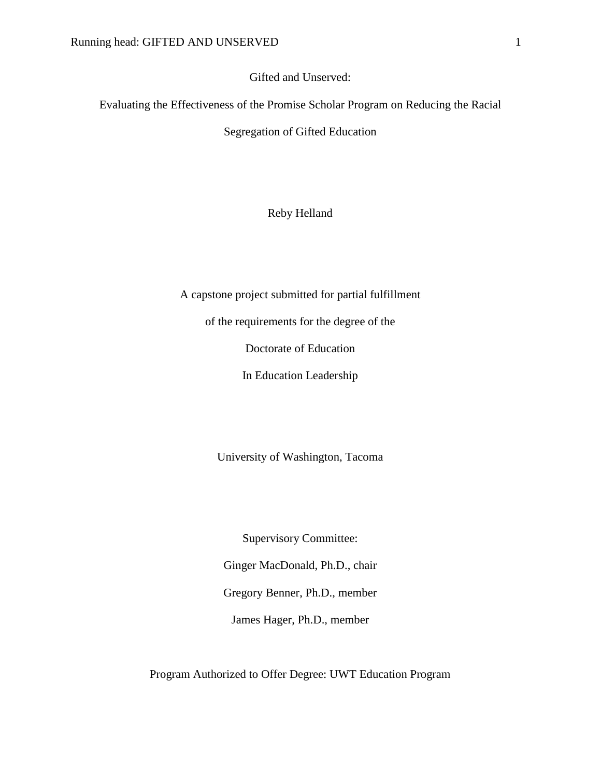Gifted and Unserved:

Evaluating the Effectiveness of the Promise Scholar Program on Reducing the Racial

Segregation of Gifted Education

Reby Helland

A capstone project submitted for partial fulfillment

of the requirements for the degree of the

Doctorate of Education

In Education Leadership

University of Washington, Tacoma

Supervisory Committee: Ginger MacDonald, Ph.D., chair Gregory Benner, Ph.D., member James Hager, Ph.D., member

Program Authorized to Offer Degree: UWT Education Program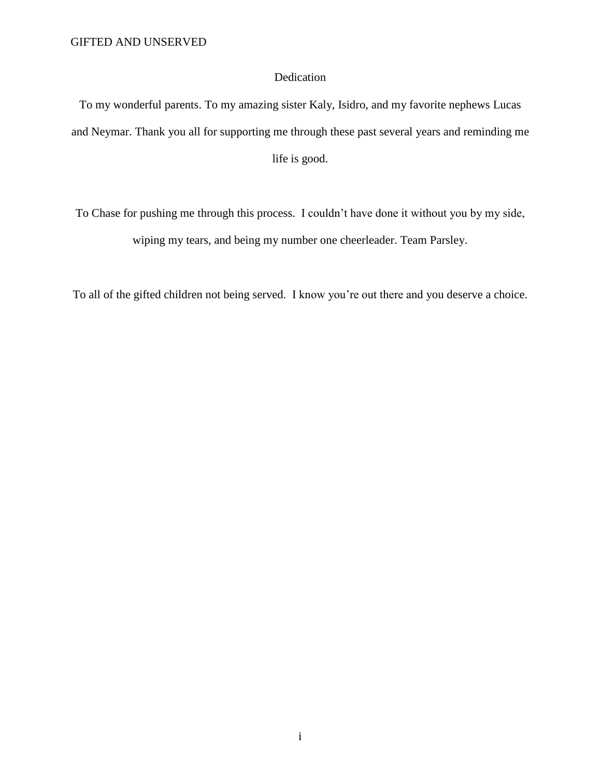# Dedication

To my wonderful parents. To my amazing sister Kaly, Isidro, and my favorite nephews Lucas and Neymar. Thank you all for supporting me through these past several years and reminding me life is good.

To Chase for pushing me through this process. I couldn't have done it without you by my side, wiping my tears, and being my number one cheerleader. Team Parsley.

To all of the gifted children not being served. I know you're out there and you deserve a choice.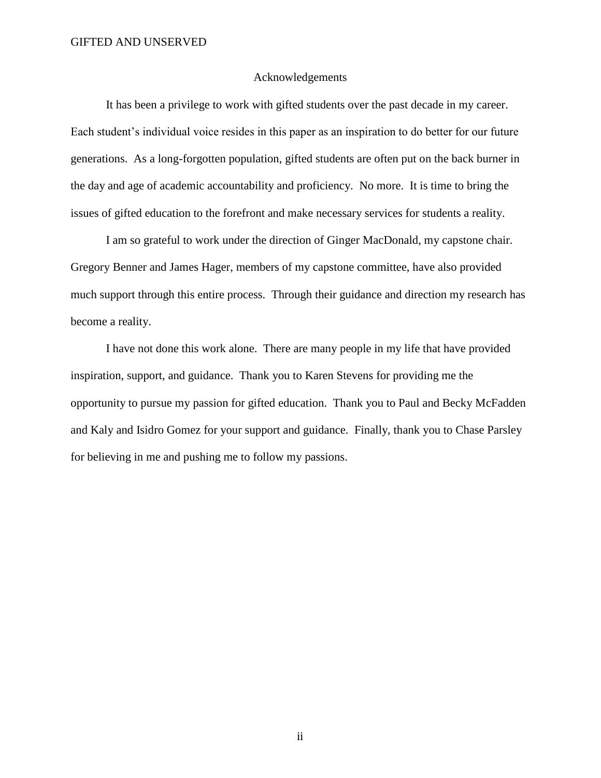### Acknowledgements

It has been a privilege to work with gifted students over the past decade in my career. Each student's individual voice resides in this paper as an inspiration to do better for our future generations. As a long-forgotten population, gifted students are often put on the back burner in the day and age of academic accountability and proficiency. No more. It is time to bring the issues of gifted education to the forefront and make necessary services for students a reality.

I am so grateful to work under the direction of Ginger MacDonald, my capstone chair. Gregory Benner and James Hager, members of my capstone committee, have also provided much support through this entire process. Through their guidance and direction my research has become a reality.

I have not done this work alone. There are many people in my life that have provided inspiration, support, and guidance. Thank you to Karen Stevens for providing me the opportunity to pursue my passion for gifted education. Thank you to Paul and Becky McFadden and Kaly and Isidro Gomez for your support and guidance. Finally, thank you to Chase Parsley for believing in me and pushing me to follow my passions.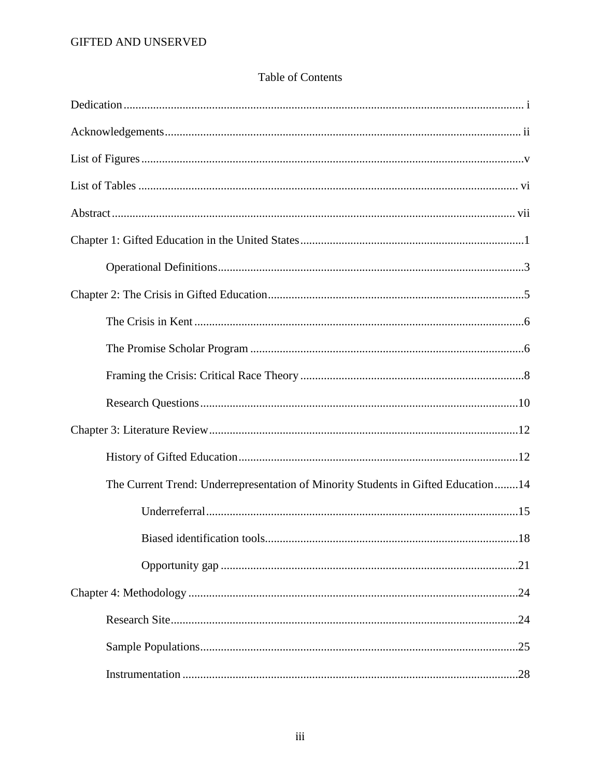# **Table of Contents**

| The Current Trend: Underrepresentation of Minority Students in Gifted Education14 |
|-----------------------------------------------------------------------------------|
|                                                                                   |
| 18<br>Biased identification tools                                                 |
|                                                                                   |
|                                                                                   |
|                                                                                   |
|                                                                                   |
|                                                                                   |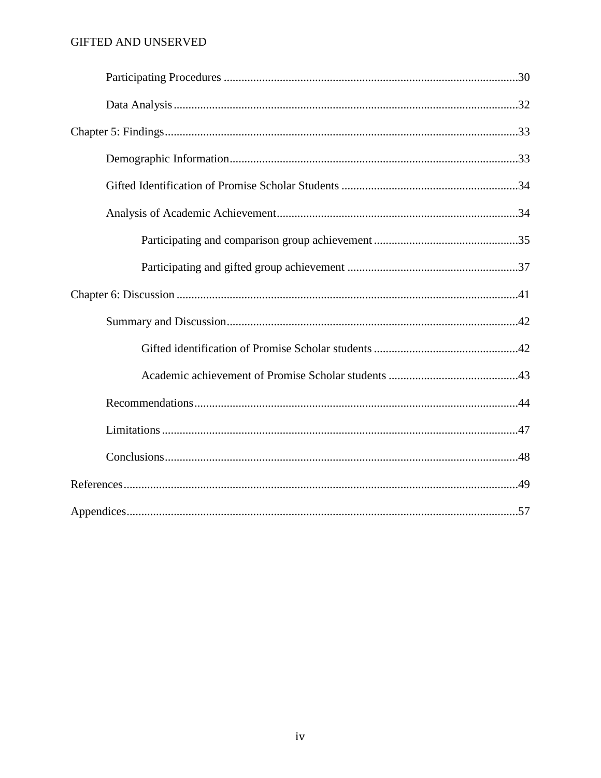# GIFTED AND UNSERVED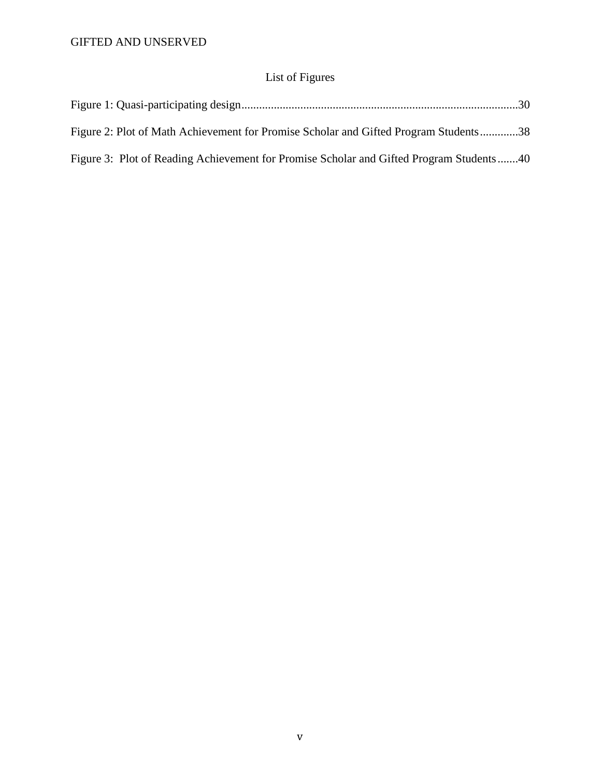# List of Figures

| Figure 2: Plot of Math Achievement for Promise Scholar and Gifted Program Students38    |  |
|-----------------------------------------------------------------------------------------|--|
| Figure 3: Plot of Reading Achievement for Promise Scholar and Gifted Program Students40 |  |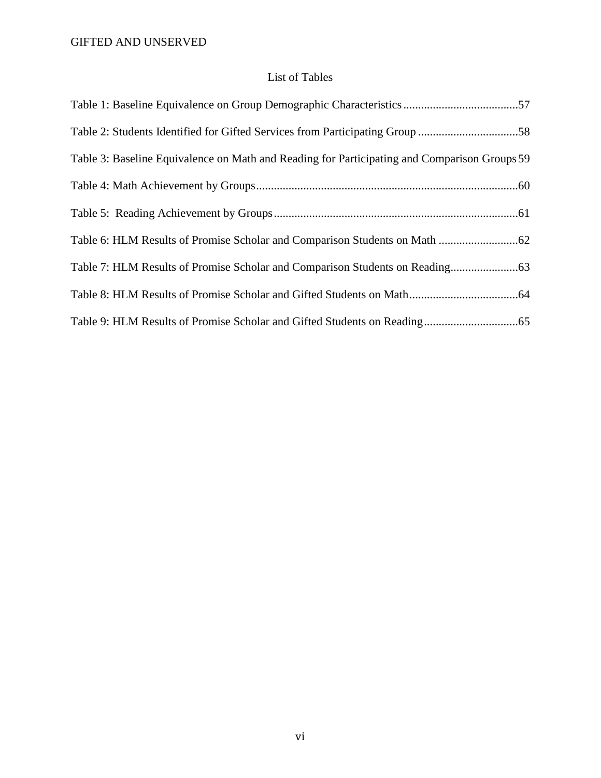# List of Tables

| Table 2: Students Identified for Gifted Services from Participating Group 58                 |  |
|----------------------------------------------------------------------------------------------|--|
| Table 3: Baseline Equivalence on Math and Reading for Participating and Comparison Groups 59 |  |
|                                                                                              |  |
|                                                                                              |  |
|                                                                                              |  |
|                                                                                              |  |
|                                                                                              |  |
|                                                                                              |  |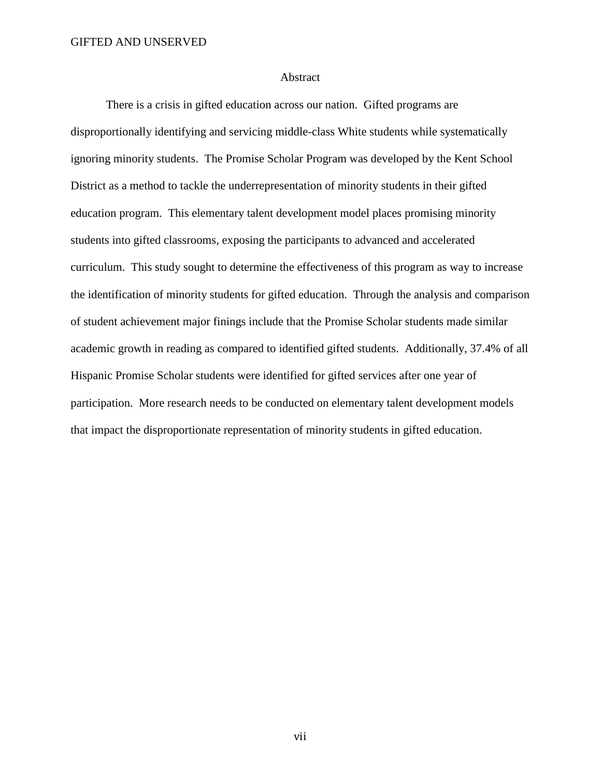#### Abstract

There is a crisis in gifted education across our nation. Gifted programs are disproportionally identifying and servicing middle-class White students while systematically ignoring minority students. The Promise Scholar Program was developed by the Kent School District as a method to tackle the underrepresentation of minority students in their gifted education program. This elementary talent development model places promising minority students into gifted classrooms, exposing the participants to advanced and accelerated curriculum. This study sought to determine the effectiveness of this program as way to increase the identification of minority students for gifted education. Through the analysis and comparison of student achievement major finings include that the Promise Scholar students made similar academic growth in reading as compared to identified gifted students. Additionally, 37.4% of all Hispanic Promise Scholar students were identified for gifted services after one year of participation. More research needs to be conducted on elementary talent development models that impact the disproportionate representation of minority students in gifted education.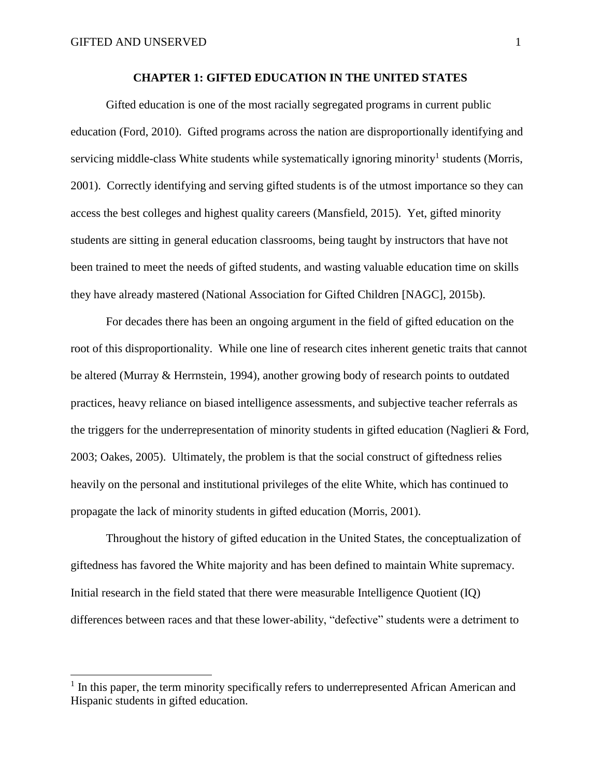$\overline{a}$ 

# **CHAPTER 1: GIFTED EDUCATION IN THE UNITED STATES**

Gifted education is one of the most racially segregated programs in current public education (Ford, 2010). Gifted programs across the nation are disproportionally identifying and servicing middle-class White students while systematically ignoring minority<sup>1</sup> students (Morris, 2001). Correctly identifying and serving gifted students is of the utmost importance so they can access the best colleges and highest quality careers (Mansfield, 2015). Yet, gifted minority students are sitting in general education classrooms, being taught by instructors that have not been trained to meet the needs of gifted students, and wasting valuable education time on skills they have already mastered (National Association for Gifted Children [NAGC], 2015b).

For decades there has been an ongoing argument in the field of gifted education on the root of this disproportionality. While one line of research cites inherent genetic traits that cannot be altered (Murray & Herrnstein, 1994), another growing body of research points to outdated practices, heavy reliance on biased intelligence assessments, and subjective teacher referrals as the triggers for the underrepresentation of minority students in gifted education (Naglieri & Ford, 2003; Oakes, 2005). Ultimately, the problem is that the social construct of giftedness relies heavily on the personal and institutional privileges of the elite White, which has continued to propagate the lack of minority students in gifted education (Morris, 2001).

Throughout the history of gifted education in the United States, the conceptualization of giftedness has favored the White majority and has been defined to maintain White supremacy. Initial research in the field stated that there were measurable Intelligence Quotient (IQ) differences between races and that these lower-ability, "defective" students were a detriment to

<sup>&</sup>lt;sup>1</sup> In this paper, the term minority specifically refers to underrepresented African American and Hispanic students in gifted education.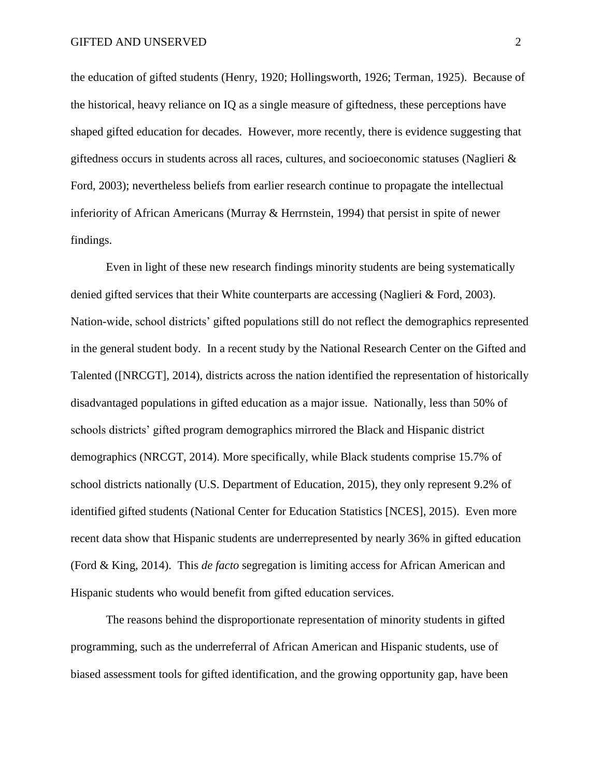the education of gifted students (Henry, 1920; Hollingsworth, 1926; Terman, 1925). Because of the historical, heavy reliance on IQ as a single measure of giftedness, these perceptions have shaped gifted education for decades. However, more recently, there is evidence suggesting that giftedness occurs in students across all races, cultures, and socioeconomic statuses (Naglieri & Ford, 2003); nevertheless beliefs from earlier research continue to propagate the intellectual inferiority of African Americans (Murray & Herrnstein, 1994) that persist in spite of newer findings.

Even in light of these new research findings minority students are being systematically denied gifted services that their White counterparts are accessing (Naglieri & Ford, 2003). Nation-wide, school districts' gifted populations still do not reflect the demographics represented in the general student body. In a recent study by the National Research Center on the Gifted and Talented ([NRCGT], 2014), districts across the nation identified the representation of historically disadvantaged populations in gifted education as a major issue. Nationally, less than 50% of schools districts' gifted program demographics mirrored the Black and Hispanic district demographics (NRCGT, 2014). More specifically, while Black students comprise 15.7% of school districts nationally (U.S. Department of Education, 2015), they only represent 9.2% of identified gifted students (National Center for Education Statistics [NCES], 2015). Even more recent data show that Hispanic students are underrepresented by nearly 36% in gifted education (Ford & King, 2014). This *de facto* segregation is limiting access for African American and Hispanic students who would benefit from gifted education services.

The reasons behind the disproportionate representation of minority students in gifted programming, such as the underreferral of African American and Hispanic students, use of biased assessment tools for gifted identification, and the growing opportunity gap, have been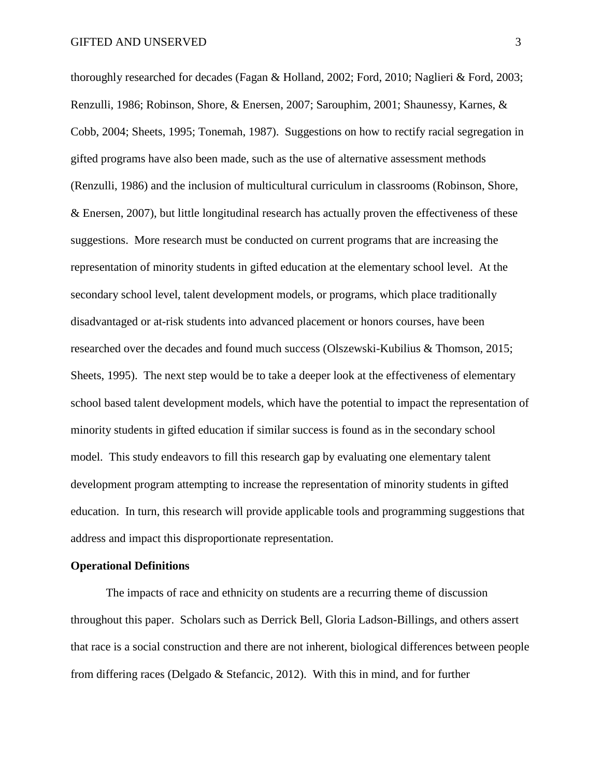thoroughly researched for decades (Fagan & Holland, 2002; Ford, 2010; Naglieri & Ford, 2003; Renzulli, 1986; Robinson, Shore, & Enersen, 2007; Sarouphim, 2001; Shaunessy, Karnes, & Cobb, 2004; Sheets, 1995; Tonemah, 1987). Suggestions on how to rectify racial segregation in gifted programs have also been made, such as the use of alternative assessment methods (Renzulli, 1986) and the inclusion of multicultural curriculum in classrooms (Robinson, Shore, & Enersen, 2007), but little longitudinal research has actually proven the effectiveness of these suggestions. More research must be conducted on current programs that are increasing the representation of minority students in gifted education at the elementary school level. At the secondary school level, talent development models, or programs, which place traditionally disadvantaged or at-risk students into advanced placement or honors courses, have been researched over the decades and found much success (Olszewski-Kubilius & Thomson, 2015; Sheets, 1995). The next step would be to take a deeper look at the effectiveness of elementary school based talent development models, which have the potential to impact the representation of minority students in gifted education if similar success is found as in the secondary school model. This study endeavors to fill this research gap by evaluating one elementary talent development program attempting to increase the representation of minority students in gifted education. In turn, this research will provide applicable tools and programming suggestions that address and impact this disproportionate representation.

### **Operational Definitions**

The impacts of race and ethnicity on students are a recurring theme of discussion throughout this paper. Scholars such as Derrick Bell, Gloria Ladson-Billings, and others assert that race is a social construction and there are not inherent, biological differences between people from differing races (Delgado & Stefancic, 2012). With this in mind, and for further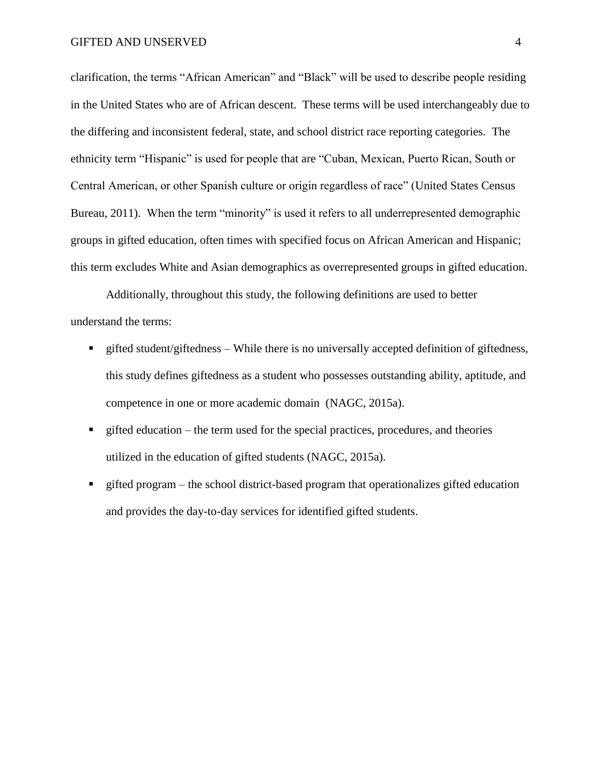clarification, the terms "African American" and "Black" will be used to describe people residing in the United States who are of African descent. These terms will be used interchangeably due to the differing and inconsistent federal, state, and school district race reporting categories. The ethnicity term "Hispanic" is used for people that are "Cuban, Mexican, Puerto Rican, South or Central American, or other Spanish culture or origin regardless of race" (United States Census Bureau, 2011). When the term "minority" is used it refers to all underrepresented demographic groups in gifted education, often times with specified focus on African American and Hispanic; this term excludes White and Asian demographics as overrepresented groups in gifted education.

Additionally, throughout this study, the following definitions are used to better understand the terms:

- gifted student/giftedness While there is no universally accepted definition of giftedness, this study defines giftedness as a student who possesses outstanding ability, aptitude, and competence in one or more academic domain (NAGC, 2015a).
- $\blacksquare$  gifted education the term used for the special practices, procedures, and theories utilized in the education of gifted students (NAGC, 2015a).
- gifted program the school district-based program that operationalizes gifted education and provides the day-to-day services for identified gifted students.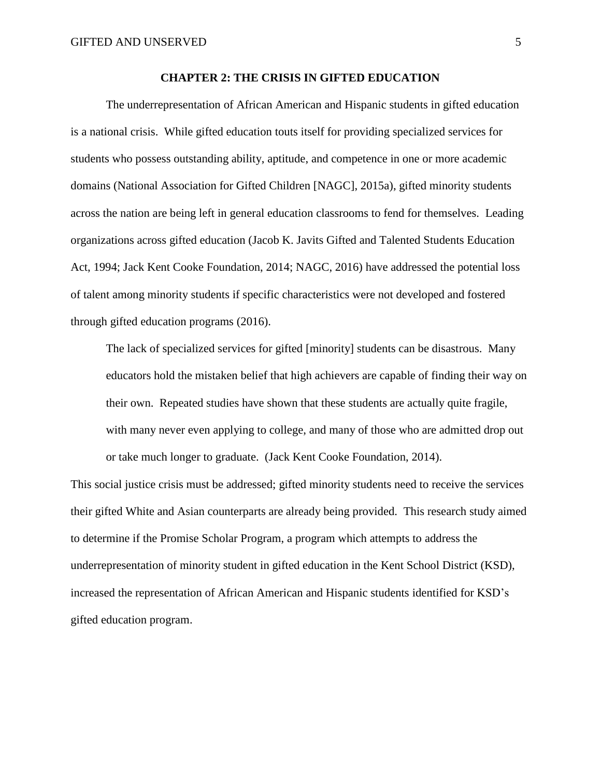## **CHAPTER 2: THE CRISIS IN GIFTED EDUCATION**

The underrepresentation of African American and Hispanic students in gifted education is a national crisis. While gifted education touts itself for providing specialized services for students who possess outstanding ability, aptitude, and competence in one or more academic domains (National Association for Gifted Children [NAGC], 2015a), gifted minority students across the nation are being left in general education classrooms to fend for themselves. Leading organizations across gifted education (Jacob K. Javits Gifted and Talented Students Education Act, 1994; Jack Kent Cooke Foundation, 2014; NAGC, 2016) have addressed the potential loss of talent among minority students if specific characteristics were not developed and fostered through gifted education programs (2016).

The lack of specialized services for gifted [minority] students can be disastrous. Many educators hold the mistaken belief that high achievers are capable of finding their way on their own. Repeated studies have shown that these students are actually quite fragile, with many never even applying to college, and many of those who are admitted drop out or take much longer to graduate. (Jack Kent Cooke Foundation, 2014).

This social justice crisis must be addressed; gifted minority students need to receive the services their gifted White and Asian counterparts are already being provided. This research study aimed to determine if the Promise Scholar Program, a program which attempts to address the underrepresentation of minority student in gifted education in the Kent School District (KSD), increased the representation of African American and Hispanic students identified for KSD's gifted education program.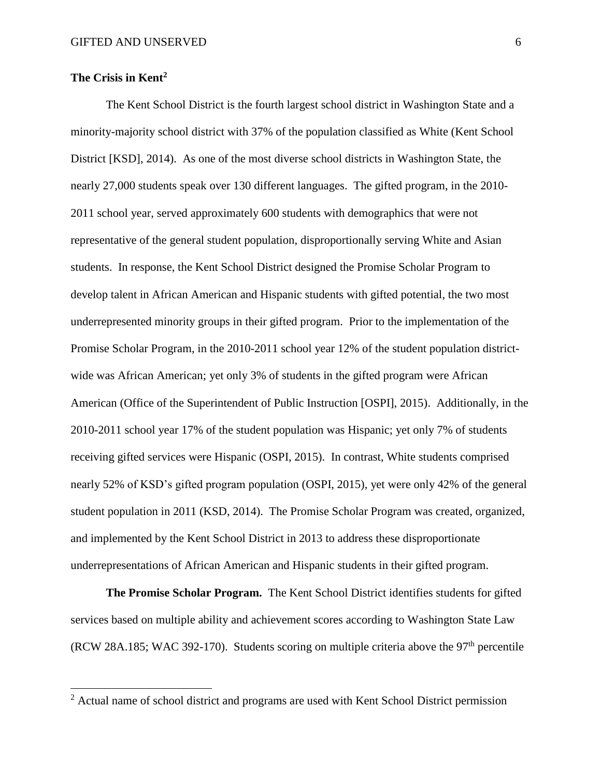# **The Crisis in Kent<sup>2</sup>**

 $\overline{a}$ 

The Kent School District is the fourth largest school district in Washington State and a minority-majority school district with 37% of the population classified as White (Kent School District [KSD], 2014). As one of the most diverse school districts in Washington State, the nearly 27,000 students speak over 130 different languages. The gifted program, in the 2010- 2011 school year, served approximately 600 students with demographics that were not representative of the general student population, disproportionally serving White and Asian students. In response, the Kent School District designed the Promise Scholar Program to develop talent in African American and Hispanic students with gifted potential, the two most underrepresented minority groups in their gifted program. Prior to the implementation of the Promise Scholar Program, in the 2010-2011 school year 12% of the student population districtwide was African American; yet only 3% of students in the gifted program were African American (Office of the Superintendent of Public Instruction [OSPI], 2015). Additionally, in the 2010-2011 school year 17% of the student population was Hispanic; yet only 7% of students receiving gifted services were Hispanic (OSPI, 2015). In contrast, White students comprised nearly 52% of KSD's gifted program population (OSPI, 2015), yet were only 42% of the general student population in 2011 (KSD, 2014). The Promise Scholar Program was created, organized, and implemented by the Kent School District in 2013 to address these disproportionate underrepresentations of African American and Hispanic students in their gifted program.

**The Promise Scholar Program.** The Kent School District identifies students for gifted services based on multiple ability and achievement scores according to Washington State Law (RCW 28A.185; WAC 392-170). Students scoring on multiple criteria above the  $97<sup>th</sup>$  percentile

<sup>&</sup>lt;sup>2</sup> Actual name of school district and programs are used with Kent School District permission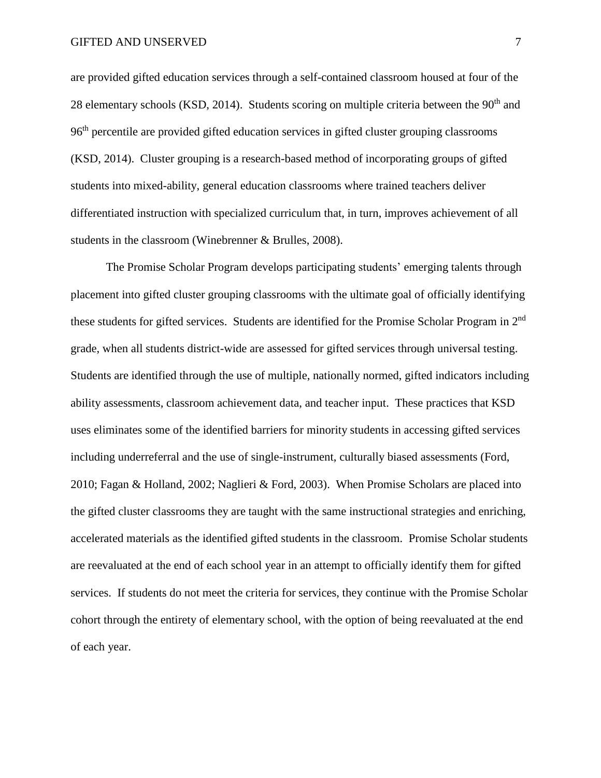are provided gifted education services through a self-contained classroom housed at four of the 28 elementary schools (KSD, 2014). Students scoring on multiple criteria between the  $90<sup>th</sup>$  and 96<sup>th</sup> percentile are provided gifted education services in gifted cluster grouping classrooms (KSD, 2014). Cluster grouping is a research-based method of incorporating groups of gifted students into mixed-ability, general education classrooms where trained teachers deliver differentiated instruction with specialized curriculum that, in turn, improves achievement of all students in the classroom (Winebrenner & Brulles, 2008).

The Promise Scholar Program develops participating students' emerging talents through placement into gifted cluster grouping classrooms with the ultimate goal of officially identifying these students for gifted services. Students are identified for the Promise Scholar Program in 2nd grade, when all students district-wide are assessed for gifted services through universal testing. Students are identified through the use of multiple, nationally normed, gifted indicators including ability assessments, classroom achievement data, and teacher input. These practices that KSD uses eliminates some of the identified barriers for minority students in accessing gifted services including underreferral and the use of single-instrument, culturally biased assessments (Ford, 2010; Fagan & Holland, 2002; Naglieri & Ford, 2003). When Promise Scholars are placed into the gifted cluster classrooms they are taught with the same instructional strategies and enriching, accelerated materials as the identified gifted students in the classroom. Promise Scholar students are reevaluated at the end of each school year in an attempt to officially identify them for gifted services. If students do not meet the criteria for services, they continue with the Promise Scholar cohort through the entirety of elementary school, with the option of being reevaluated at the end of each year.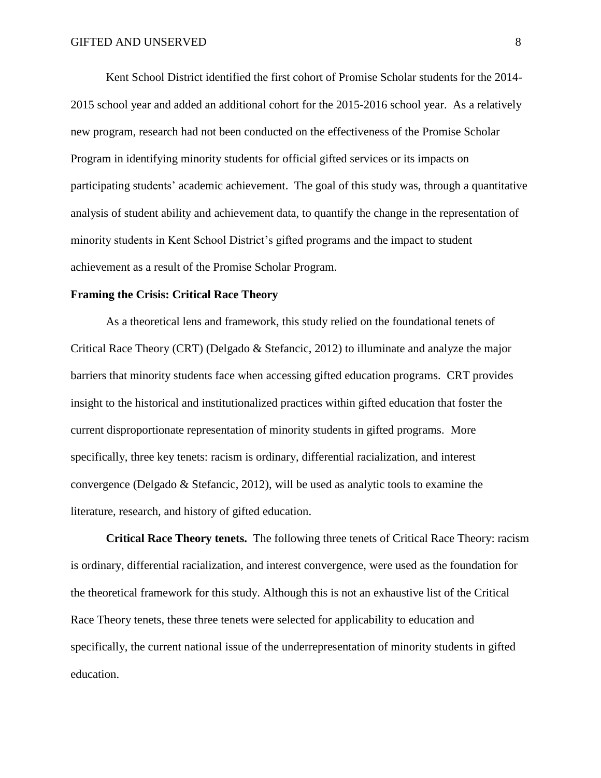Kent School District identified the first cohort of Promise Scholar students for the 2014- 2015 school year and added an additional cohort for the 2015-2016 school year. As a relatively new program, research had not been conducted on the effectiveness of the Promise Scholar Program in identifying minority students for official gifted services or its impacts on participating students' academic achievement. The goal of this study was, through a quantitative analysis of student ability and achievement data, to quantify the change in the representation of minority students in Kent School District's gifted programs and the impact to student achievement as a result of the Promise Scholar Program.

# **Framing the Crisis: Critical Race Theory**

As a theoretical lens and framework, this study relied on the foundational tenets of Critical Race Theory (CRT) (Delgado & Stefancic, 2012) to illuminate and analyze the major barriers that minority students face when accessing gifted education programs. CRT provides insight to the historical and institutionalized practices within gifted education that foster the current disproportionate representation of minority students in gifted programs. More specifically, three key tenets: racism is ordinary, differential racialization, and interest convergence (Delgado & Stefancic, 2012), will be used as analytic tools to examine the literature, research, and history of gifted education.

**Critical Race Theory tenets.** The following three tenets of Critical Race Theory: racism is ordinary, differential racialization, and interest convergence, were used as the foundation for the theoretical framework for this study. Although this is not an exhaustive list of the Critical Race Theory tenets, these three tenets were selected for applicability to education and specifically, the current national issue of the underrepresentation of minority students in gifted education.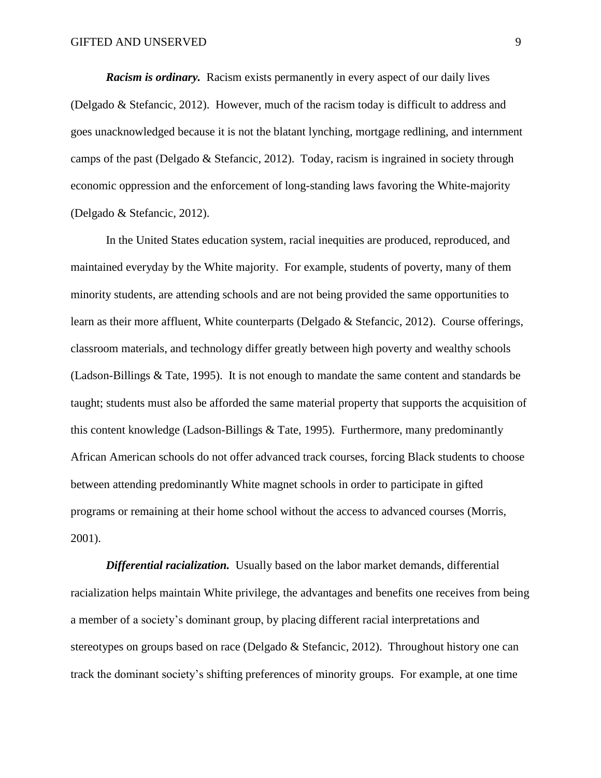*Racism is ordinary.* Racism exists permanently in every aspect of our daily lives (Delgado & Stefancic, 2012). However, much of the racism today is difficult to address and goes unacknowledged because it is not the blatant lynching, mortgage redlining, and internment camps of the past (Delgado & Stefancic, 2012). Today, racism is ingrained in society through economic oppression and the enforcement of long-standing laws favoring the White-majority (Delgado & Stefancic, 2012).

In the United States education system, racial inequities are produced, reproduced, and maintained everyday by the White majority. For example, students of poverty, many of them minority students, are attending schools and are not being provided the same opportunities to learn as their more affluent, White counterparts (Delgado & Stefancic, 2012). Course offerings, classroom materials, and technology differ greatly between high poverty and wealthy schools (Ladson-Billings & Tate, 1995). It is not enough to mandate the same content and standards be taught; students must also be afforded the same material property that supports the acquisition of this content knowledge (Ladson-Billings & Tate, 1995). Furthermore, many predominantly African American schools do not offer advanced track courses, forcing Black students to choose between attending predominantly White magnet schools in order to participate in gifted programs or remaining at their home school without the access to advanced courses (Morris, 2001).

**Differential racialization.** Usually based on the labor market demands, differential racialization helps maintain White privilege, the advantages and benefits one receives from being a member of a society's dominant group, by placing different racial interpretations and stereotypes on groups based on race (Delgado & Stefancic, 2012). Throughout history one can track the dominant society's shifting preferences of minority groups. For example, at one time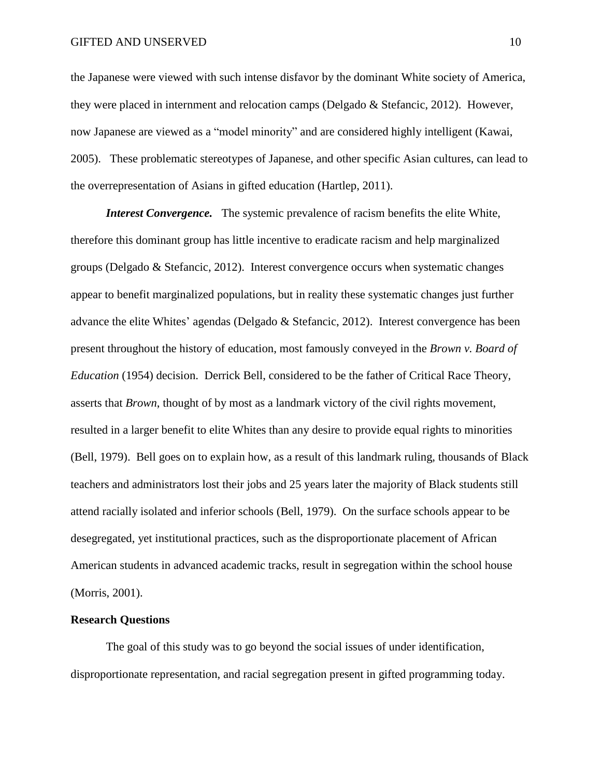the Japanese were viewed with such intense disfavor by the dominant White society of America, they were placed in internment and relocation camps (Delgado & Stefancic, 2012). However, now Japanese are viewed as a "model minority" and are considered highly intelligent (Kawai, 2005). These problematic stereotypes of Japanese, and other specific Asian cultures, can lead to the overrepresentation of Asians in gifted education (Hartlep, 2011).

*Interest Convergence.* The systemic prevalence of racism benefits the elite White, therefore this dominant group has little incentive to eradicate racism and help marginalized groups (Delgado & Stefancic, 2012). Interest convergence occurs when systematic changes appear to benefit marginalized populations, but in reality these systematic changes just further advance the elite Whites' agendas (Delgado & Stefancic, 2012). Interest convergence has been present throughout the history of education, most famously conveyed in the *Brown v. Board of Education* (1954) decision. Derrick Bell, considered to be the father of Critical Race Theory, asserts that *Brown*, thought of by most as a landmark victory of the civil rights movement, resulted in a larger benefit to elite Whites than any desire to provide equal rights to minorities (Bell, 1979). Bell goes on to explain how, as a result of this landmark ruling, thousands of Black teachers and administrators lost their jobs and 25 years later the majority of Black students still attend racially isolated and inferior schools (Bell, 1979). On the surface schools appear to be desegregated, yet institutional practices, such as the disproportionate placement of African American students in advanced academic tracks, result in segregation within the school house (Morris, 2001).

## **Research Questions**

The goal of this study was to go beyond the social issues of under identification, disproportionate representation, and racial segregation present in gifted programming today.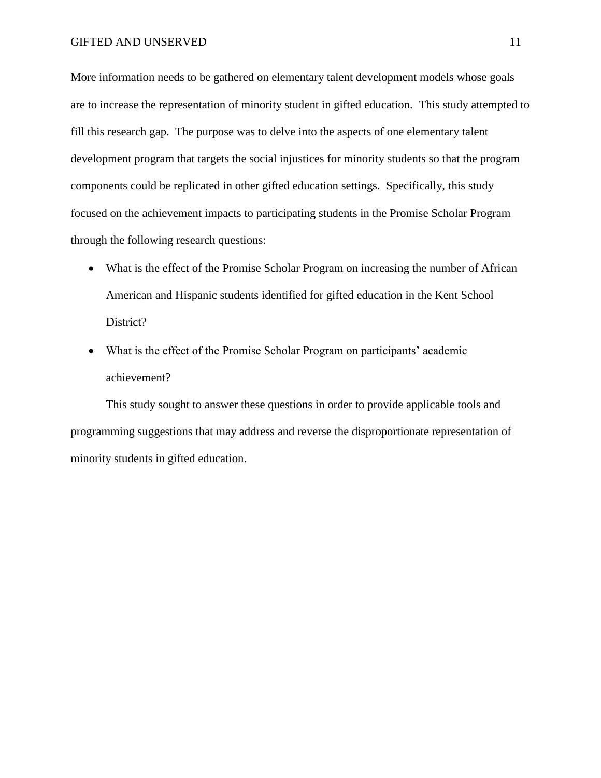More information needs to be gathered on elementary talent development models whose goals are to increase the representation of minority student in gifted education. This study attempted to fill this research gap. The purpose was to delve into the aspects of one elementary talent development program that targets the social injustices for minority students so that the program components could be replicated in other gifted education settings. Specifically, this study focused on the achievement impacts to participating students in the Promise Scholar Program through the following research questions:

- What is the effect of the Promise Scholar Program on increasing the number of African American and Hispanic students identified for gifted education in the Kent School District?
- What is the effect of the Promise Scholar Program on participants' academic achievement?

This study sought to answer these questions in order to provide applicable tools and programming suggestions that may address and reverse the disproportionate representation of minority students in gifted education.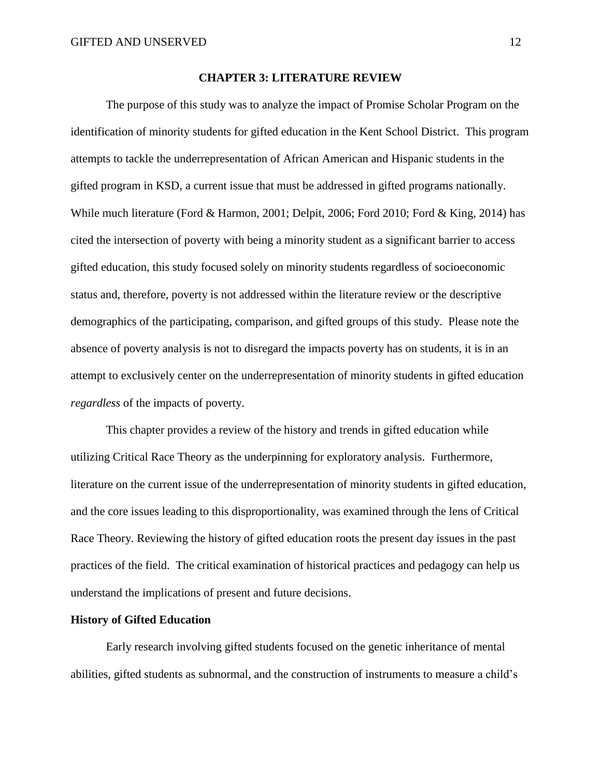#### **CHAPTER 3: LITERATURE REVIEW**

The purpose of this study was to analyze the impact of Promise Scholar Program on the identification of minority students for gifted education in the Kent School District. This program attempts to tackle the underrepresentation of African American and Hispanic students in the gifted program in KSD, a current issue that must be addressed in gifted programs nationally. While much literature (Ford & Harmon, 2001; Delpit, 2006; Ford 2010; Ford & King, 2014) has cited the intersection of poverty with being a minority student as a significant barrier to access gifted education, this study focused solely on minority students regardless of socioeconomic status and, therefore, poverty is not addressed within the literature review or the descriptive demographics of the participating, comparison, and gifted groups of this study. Please note the absence of poverty analysis is not to disregard the impacts poverty has on students, it is in an attempt to exclusively center on the underrepresentation of minority students in gifted education *regardless* of the impacts of poverty.

This chapter provides a review of the history and trends in gifted education while utilizing Critical Race Theory as the underpinning for exploratory analysis. Furthermore, literature on the current issue of the underrepresentation of minority students in gifted education, and the core issues leading to this disproportionality, was examined through the lens of Critical Race Theory. Reviewing the history of gifted education roots the present day issues in the past practices of the field. The critical examination of historical practices and pedagogy can help us understand the implications of present and future decisions.

#### **History of Gifted Education**

Early research involving gifted students focused on the genetic inheritance of mental abilities, gifted students as subnormal, and the construction of instruments to measure a child's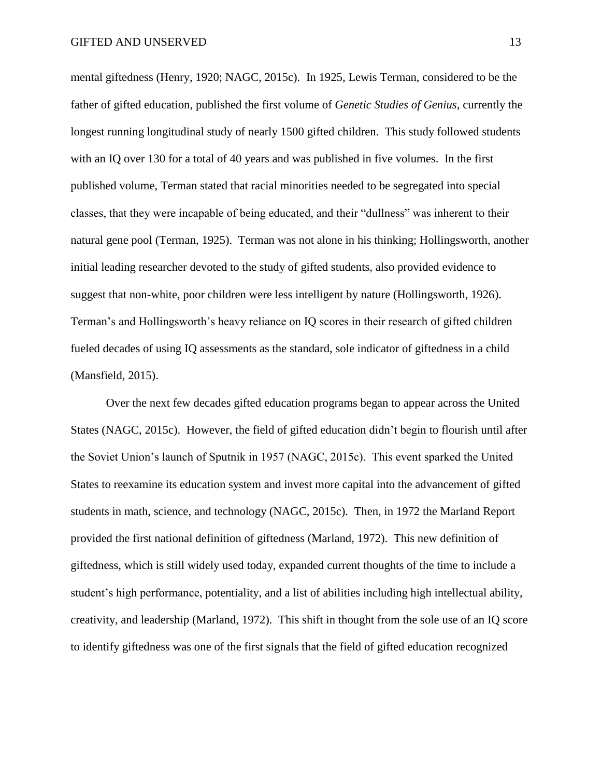mental giftedness (Henry, 1920; NAGC, 2015c). In 1925, Lewis Terman, considered to be the father of gifted education, published the first volume of *Genetic Studies of Genius*, currently the longest running longitudinal study of nearly 1500 gifted children. This study followed students with an IQ over 130 for a total of 40 years and was published in five volumes. In the first published volume, Terman stated that racial minorities needed to be segregated into special classes, that they were incapable of being educated, and their "dullness" was inherent to their natural gene pool (Terman, 1925). Terman was not alone in his thinking; Hollingsworth, another initial leading researcher devoted to the study of gifted students, also provided evidence to suggest that non-white, poor children were less intelligent by nature (Hollingsworth, 1926). Terman's and Hollingsworth's heavy reliance on IQ scores in their research of gifted children fueled decades of using IQ assessments as the standard, sole indicator of giftedness in a child (Mansfield, 2015).

Over the next few decades gifted education programs began to appear across the United States (NAGC, 2015c). However, the field of gifted education didn't begin to flourish until after the Soviet Union's launch of Sputnik in 1957 (NAGC, 2015c). This event sparked the United States to reexamine its education system and invest more capital into the advancement of gifted students in math, science, and technology (NAGC, 2015c). Then, in 1972 the Marland Report provided the first national definition of giftedness (Marland, 1972). This new definition of giftedness, which is still widely used today, expanded current thoughts of the time to include a student's high performance, potentiality, and a list of abilities including high intellectual ability, creativity, and leadership (Marland, 1972). This shift in thought from the sole use of an IQ score to identify giftedness was one of the first signals that the field of gifted education recognized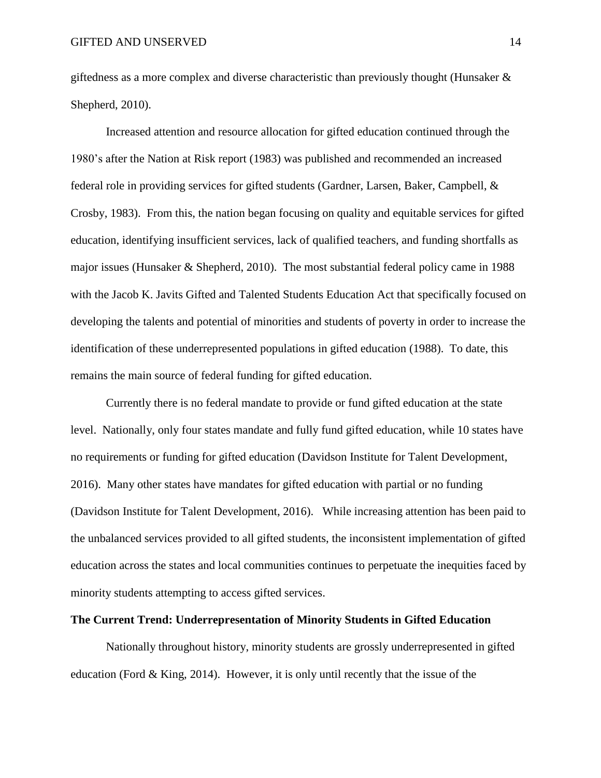giftedness as a more complex and diverse characteristic than previously thought (Hunsaker  $\&$ Shepherd, 2010).

Increased attention and resource allocation for gifted education continued through the 1980's after the Nation at Risk report (1983) was published and recommended an increased federal role in providing services for gifted students (Gardner, Larsen, Baker, Campbell, & Crosby, 1983). From this, the nation began focusing on quality and equitable services for gifted education, identifying insufficient services, lack of qualified teachers, and funding shortfalls as major issues (Hunsaker & Shepherd, 2010). The most substantial federal policy came in 1988 with the Jacob K. Javits Gifted and Talented Students Education Act that specifically focused on developing the talents and potential of minorities and students of poverty in order to increase the identification of these underrepresented populations in gifted education (1988). To date, this remains the main source of federal funding for gifted education.

Currently there is no federal mandate to provide or fund gifted education at the state level. Nationally, only four states mandate and fully fund gifted education, while 10 states have no requirements or funding for gifted education (Davidson Institute for Talent Development, 2016). Many other states have mandates for gifted education with partial or no funding (Davidson Institute for Talent Development, 2016). While increasing attention has been paid to the unbalanced services provided to all gifted students, the inconsistent implementation of gifted education across the states and local communities continues to perpetuate the inequities faced by minority students attempting to access gifted services.

## **The Current Trend: Underrepresentation of Minority Students in Gifted Education**

Nationally throughout history, minority students are grossly underrepresented in gifted education (Ford  $\&$  King, 2014). However, it is only until recently that the issue of the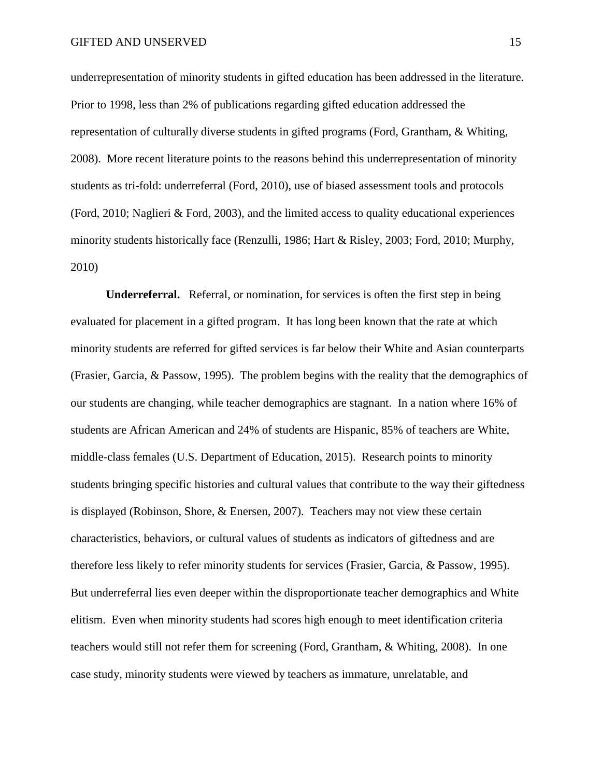underrepresentation of minority students in gifted education has been addressed in the literature. Prior to 1998, less than 2% of publications regarding gifted education addressed the representation of culturally diverse students in gifted programs (Ford, Grantham, & Whiting, 2008). More recent literature points to the reasons behind this underrepresentation of minority students as tri-fold: underreferral (Ford, 2010), use of biased assessment tools and protocols (Ford, 2010; Naglieri & Ford, 2003), and the limited access to quality educational experiences minority students historically face (Renzulli, 1986; Hart & Risley, 2003; Ford, 2010; Murphy, 2010)

**Underreferral.** Referral, or nomination, for services is often the first step in being evaluated for placement in a gifted program. It has long been known that the rate at which minority students are referred for gifted services is far below their White and Asian counterparts (Frasier, Garcia, & Passow, 1995). The problem begins with the reality that the demographics of our students are changing, while teacher demographics are stagnant. In a nation where 16% of students are African American and 24% of students are Hispanic, 85% of teachers are White, middle-class females (U.S. Department of Education, 2015). Research points to minority students bringing specific histories and cultural values that contribute to the way their giftedness is displayed (Robinson, Shore, & Enersen, 2007). Teachers may not view these certain characteristics, behaviors, or cultural values of students as indicators of giftedness and are therefore less likely to refer minority students for services (Frasier, Garcia, & Passow, 1995). But underreferral lies even deeper within the disproportionate teacher demographics and White elitism. Even when minority students had scores high enough to meet identification criteria teachers would still not refer them for screening (Ford, Grantham, & Whiting, 2008). In one case study, minority students were viewed by teachers as immature, unrelatable, and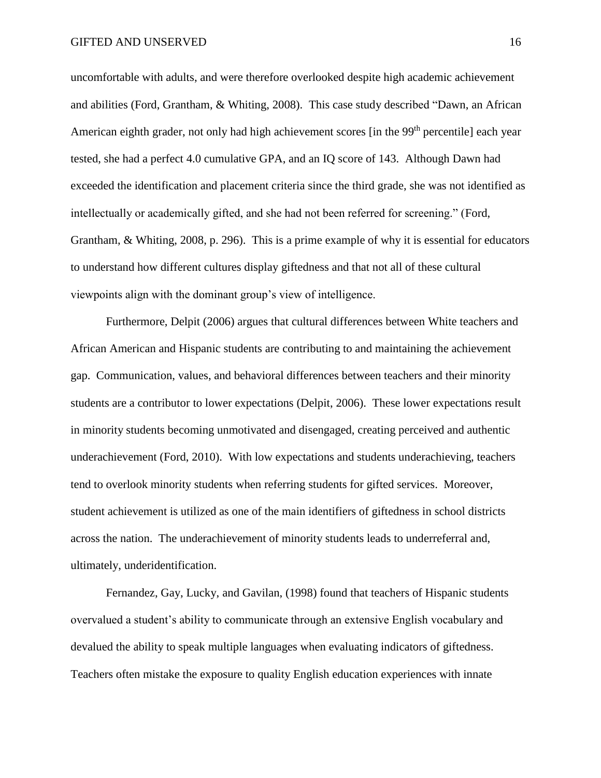uncomfortable with adults, and were therefore overlooked despite high academic achievement and abilities (Ford, Grantham, & Whiting, 2008). This case study described "Dawn, an African American eighth grader, not only had high achievement scores [in the 99<sup>th</sup> percentile] each year tested, she had a perfect 4.0 cumulative GPA, and an IQ score of 143. Although Dawn had exceeded the identification and placement criteria since the third grade, she was not identified as intellectually or academically gifted, and she had not been referred for screening." (Ford, Grantham, & Whiting, 2008, p. 296). This is a prime example of why it is essential for educators to understand how different cultures display giftedness and that not all of these cultural viewpoints align with the dominant group's view of intelligence.

Furthermore, Delpit (2006) argues that cultural differences between White teachers and African American and Hispanic students are contributing to and maintaining the achievement gap. Communication, values, and behavioral differences between teachers and their minority students are a contributor to lower expectations (Delpit, 2006). These lower expectations result in minority students becoming unmotivated and disengaged, creating perceived and authentic underachievement (Ford, 2010). With low expectations and students underachieving, teachers tend to overlook minority students when referring students for gifted services. Moreover, student achievement is utilized as one of the main identifiers of giftedness in school districts across the nation. The underachievement of minority students leads to underreferral and, ultimately, underidentification.

Fernandez, Gay, Lucky, and Gavilan, (1998) found that teachers of Hispanic students overvalued a student's ability to communicate through an extensive English vocabulary and devalued the ability to speak multiple languages when evaluating indicators of giftedness. Teachers often mistake the exposure to quality English education experiences with innate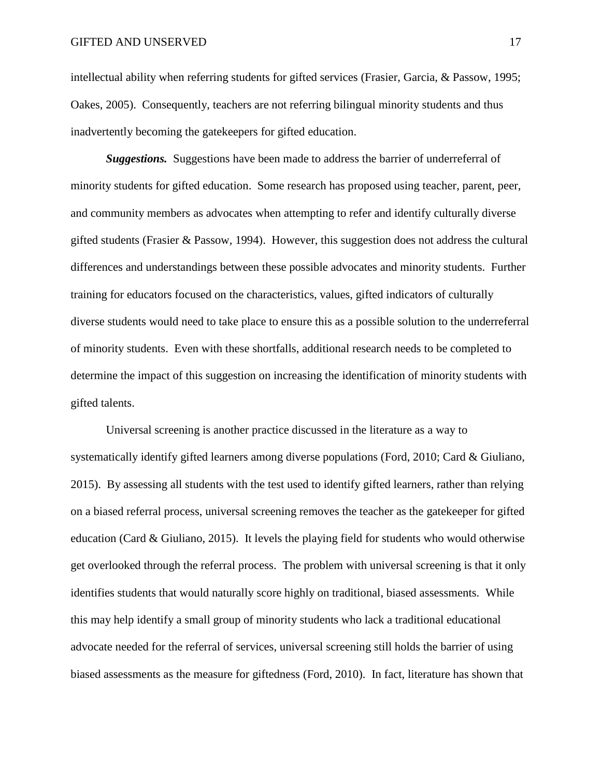intellectual ability when referring students for gifted services (Frasier, Garcia, & Passow, 1995; Oakes, 2005). Consequently, teachers are not referring bilingual minority students and thus inadvertently becoming the gatekeepers for gifted education.

*Suggestions.* Suggestions have been made to address the barrier of underreferral of minority students for gifted education. Some research has proposed using teacher, parent, peer, and community members as advocates when attempting to refer and identify culturally diverse gifted students (Frasier & Passow, 1994). However, this suggestion does not address the cultural differences and understandings between these possible advocates and minority students. Further training for educators focused on the characteristics, values, gifted indicators of culturally diverse students would need to take place to ensure this as a possible solution to the underreferral of minority students. Even with these shortfalls, additional research needs to be completed to determine the impact of this suggestion on increasing the identification of minority students with gifted talents.

Universal screening is another practice discussed in the literature as a way to systematically identify gifted learners among diverse populations (Ford, 2010; Card & Giuliano, 2015). By assessing all students with the test used to identify gifted learners, rather than relying on a biased referral process, universal screening removes the teacher as the gatekeeper for gifted education (Card & Giuliano, 2015). It levels the playing field for students who would otherwise get overlooked through the referral process. The problem with universal screening is that it only identifies students that would naturally score highly on traditional, biased assessments. While this may help identify a small group of minority students who lack a traditional educational advocate needed for the referral of services, universal screening still holds the barrier of using biased assessments as the measure for giftedness (Ford, 2010). In fact, literature has shown that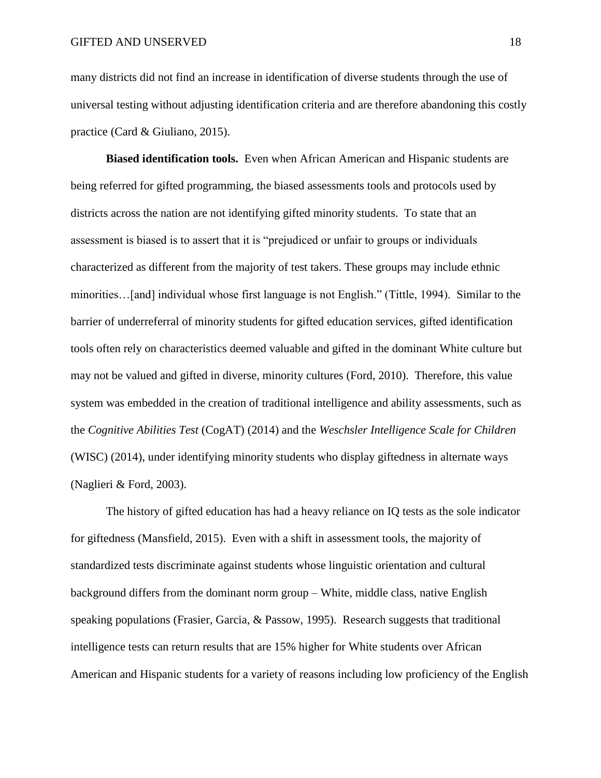many districts did not find an increase in identification of diverse students through the use of universal testing without adjusting identification criteria and are therefore abandoning this costly practice (Card & Giuliano, 2015).

**Biased identification tools.** Even when African American and Hispanic students are being referred for gifted programming, the biased assessments tools and protocols used by districts across the nation are not identifying gifted minority students. To state that an assessment is biased is to assert that it is "prejudiced or unfair to groups or individuals characterized as different from the majority of test takers. These groups may include ethnic minorities…[and] individual whose first language is not English." (Tittle, 1994). Similar to the barrier of underreferral of minority students for gifted education services, gifted identification tools often rely on characteristics deemed valuable and gifted in the dominant White culture but may not be valued and gifted in diverse, minority cultures (Ford, 2010). Therefore, this value system was embedded in the creation of traditional intelligence and ability assessments, such as the *Cognitive Abilities Test* (CogAT) (2014) and the *Weschsler Intelligence Scale for Children* (WISC) (2014), under identifying minority students who display giftedness in alternate ways (Naglieri & Ford, 2003).

The history of gifted education has had a heavy reliance on IQ tests as the sole indicator for giftedness (Mansfield, 2015). Even with a shift in assessment tools, the majority of standardized tests discriminate against students whose linguistic orientation and cultural background differs from the dominant norm group – White, middle class, native English speaking populations (Frasier, Garcia, & Passow, 1995). Research suggests that traditional intelligence tests can return results that are 15% higher for White students over African American and Hispanic students for a variety of reasons including low proficiency of the English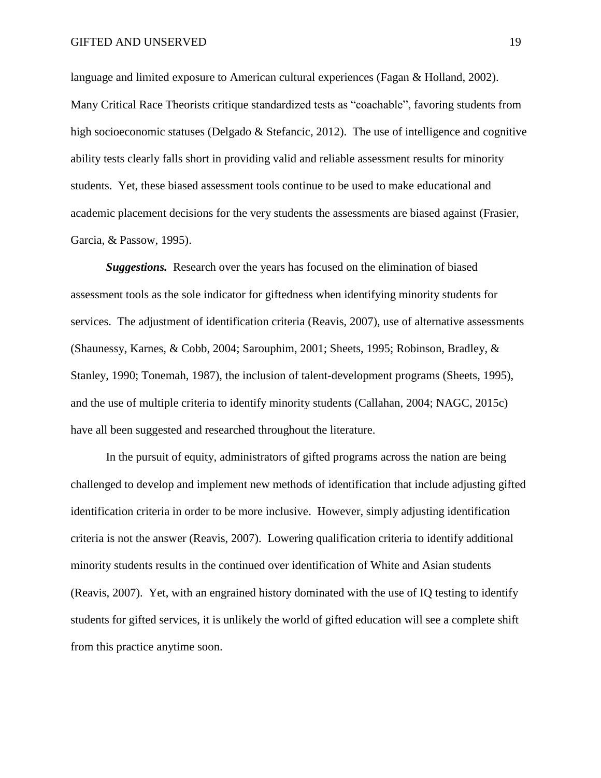language and limited exposure to American cultural experiences (Fagan & Holland, 2002). Many Critical Race Theorists critique standardized tests as "coachable", favoring students from high socioeconomic statuses (Delgado & Stefancic, 2012). The use of intelligence and cognitive ability tests clearly falls short in providing valid and reliable assessment results for minority students. Yet, these biased assessment tools continue to be used to make educational and academic placement decisions for the very students the assessments are biased against (Frasier, Garcia, & Passow, 1995).

*Suggestions.* Research over the years has focused on the elimination of biased assessment tools as the sole indicator for giftedness when identifying minority students for services. The adjustment of identification criteria (Reavis, 2007), use of alternative assessments (Shaunessy, Karnes, & Cobb, 2004; Sarouphim, 2001; Sheets, 1995; Robinson, Bradley, & Stanley, 1990; Tonemah, 1987), the inclusion of talent-development programs (Sheets, 1995), and the use of multiple criteria to identify minority students (Callahan, 2004; NAGC, 2015c) have all been suggested and researched throughout the literature.

In the pursuit of equity, administrators of gifted programs across the nation are being challenged to develop and implement new methods of identification that include adjusting gifted identification criteria in order to be more inclusive. However, simply adjusting identification criteria is not the answer (Reavis, 2007). Lowering qualification criteria to identify additional minority students results in the continued over identification of White and Asian students (Reavis, 2007). Yet, with an engrained history dominated with the use of IQ testing to identify students for gifted services, it is unlikely the world of gifted education will see a complete shift from this practice anytime soon.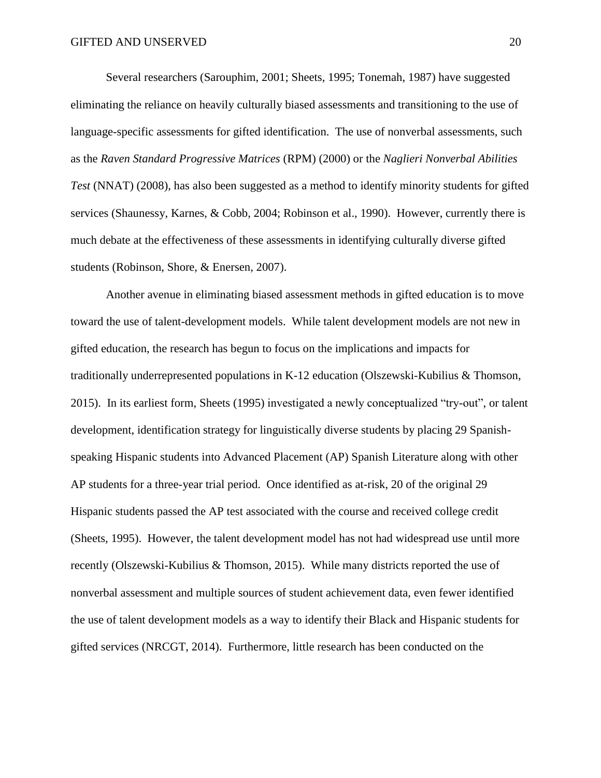Several researchers (Sarouphim, 2001; Sheets, 1995; Tonemah, 1987) have suggested eliminating the reliance on heavily culturally biased assessments and transitioning to the use of language-specific assessments for gifted identification. The use of nonverbal assessments, such as the *Raven Standard Progressive Matrices* (RPM) (2000) or the *Naglieri Nonverbal Abilities Test* (NNAT) (2008), has also been suggested as a method to identify minority students for gifted services (Shaunessy, Karnes, & Cobb, 2004; Robinson et al., 1990). However, currently there is much debate at the effectiveness of these assessments in identifying culturally diverse gifted students (Robinson, Shore, & Enersen, 2007).

Another avenue in eliminating biased assessment methods in gifted education is to move toward the use of talent-development models. While talent development models are not new in gifted education, the research has begun to focus on the implications and impacts for traditionally underrepresented populations in K-12 education (Olszewski-Kubilius & Thomson, 2015). In its earliest form, Sheets (1995) investigated a newly conceptualized "try-out", or talent development, identification strategy for linguistically diverse students by placing 29 Spanishspeaking Hispanic students into Advanced Placement (AP) Spanish Literature along with other AP students for a three-year trial period. Once identified as at-risk, 20 of the original 29 Hispanic students passed the AP test associated with the course and received college credit (Sheets, 1995). However, the talent development model has not had widespread use until more recently (Olszewski-Kubilius & Thomson, 2015). While many districts reported the use of nonverbal assessment and multiple sources of student achievement data, even fewer identified the use of talent development models as a way to identify their Black and Hispanic students for gifted services (NRCGT, 2014). Furthermore, little research has been conducted on the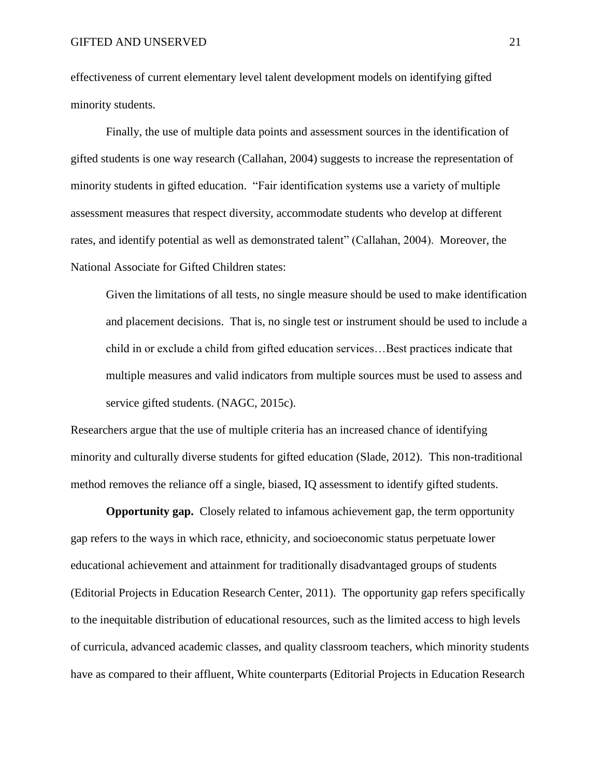effectiveness of current elementary level talent development models on identifying gifted minority students.

Finally, the use of multiple data points and assessment sources in the identification of gifted students is one way research (Callahan, 2004) suggests to increase the representation of minority students in gifted education. "Fair identification systems use a variety of multiple assessment measures that respect diversity, accommodate students who develop at different rates, and identify potential as well as demonstrated talent" (Callahan, 2004). Moreover, the National Associate for Gifted Children states:

Given the limitations of all tests, no single measure should be used to make identification and placement decisions. That is, no single test or instrument should be used to include a child in or exclude a child from gifted education services…Best practices indicate that multiple measures and valid indicators from multiple sources must be used to assess and service gifted students. (NAGC, 2015c).

Researchers argue that the use of multiple criteria has an increased chance of identifying minority and culturally diverse students for gifted education (Slade, 2012). This non-traditional method removes the reliance off a single, biased, IQ assessment to identify gifted students.

**Opportunity gap.** Closely related to infamous achievement gap, the term opportunity gap refers to the ways in which race, ethnicity, and socioeconomic status perpetuate lower educational achievement and attainment for traditionally disadvantaged groups of students (Editorial Projects in Education Research Center, 2011). The opportunity gap refers specifically to the inequitable distribution of educational resources, such as the limited access to high levels of curricula, advanced academic classes, and quality classroom teachers, which minority students have as compared to their affluent, White counterparts (Editorial Projects in Education Research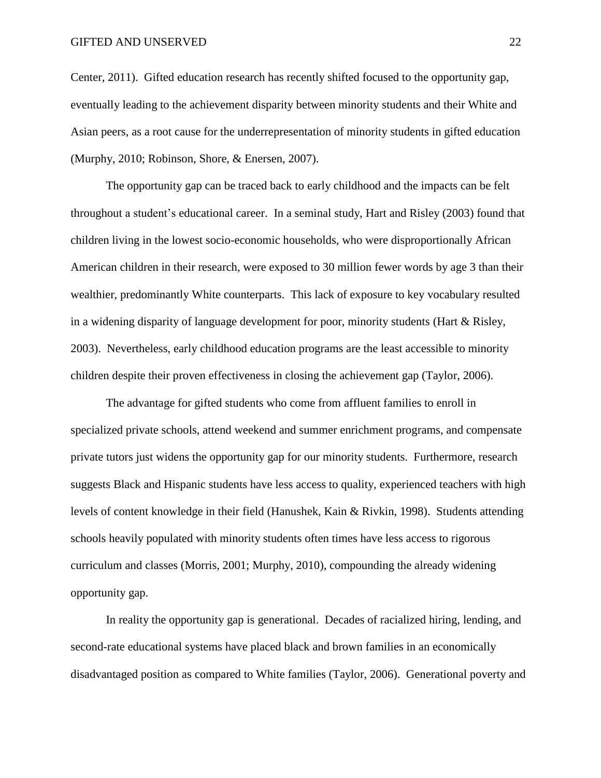#### GIFTED AND UNSERVED 22

Center, 2011). Gifted education research has recently shifted focused to the opportunity gap, eventually leading to the achievement disparity between minority students and their White and Asian peers, as a root cause for the underrepresentation of minority students in gifted education (Murphy, 2010; Robinson, Shore, & Enersen, 2007).

The opportunity gap can be traced back to early childhood and the impacts can be felt throughout a student's educational career. In a seminal study, Hart and Risley (2003) found that children living in the lowest socio-economic households, who were disproportionally African American children in their research, were exposed to 30 million fewer words by age 3 than their wealthier, predominantly White counterparts. This lack of exposure to key vocabulary resulted in a widening disparity of language development for poor, minority students (Hart & Risley, 2003). Nevertheless, early childhood education programs are the least accessible to minority children despite their proven effectiveness in closing the achievement gap (Taylor, 2006).

The advantage for gifted students who come from affluent families to enroll in specialized private schools, attend weekend and summer enrichment programs, and compensate private tutors just widens the opportunity gap for our minority students. Furthermore, research suggests Black and Hispanic students have less access to quality, experienced teachers with high levels of content knowledge in their field (Hanushek, Kain & Rivkin, 1998). Students attending schools heavily populated with minority students often times have less access to rigorous curriculum and classes (Morris, 2001; Murphy, 2010), compounding the already widening opportunity gap.

In reality the opportunity gap is generational. Decades of racialized hiring, lending, and second-rate educational systems have placed black and brown families in an economically disadvantaged position as compared to White families (Taylor, 2006). Generational poverty and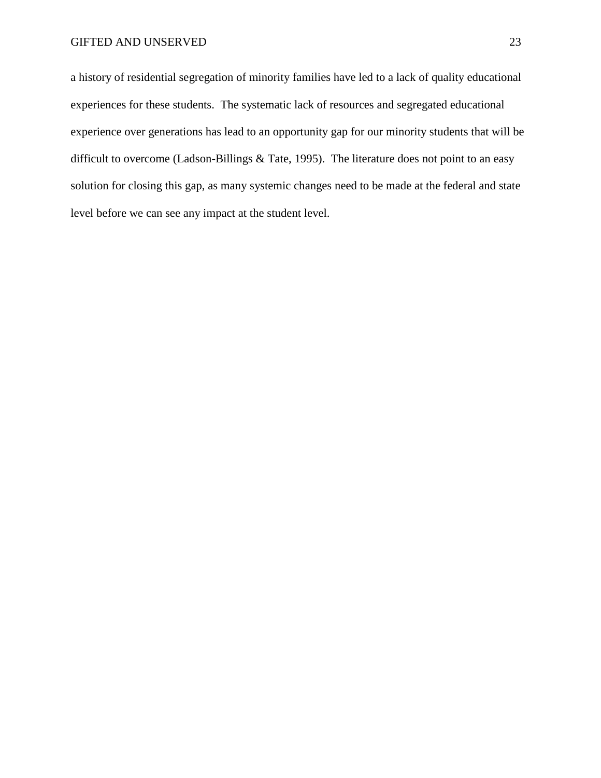a history of residential segregation of minority families have led to a lack of quality educational experiences for these students. The systematic lack of resources and segregated educational experience over generations has lead to an opportunity gap for our minority students that will be difficult to overcome (Ladson-Billings & Tate, 1995). The literature does not point to an easy solution for closing this gap, as many systemic changes need to be made at the federal and state level before we can see any impact at the student level.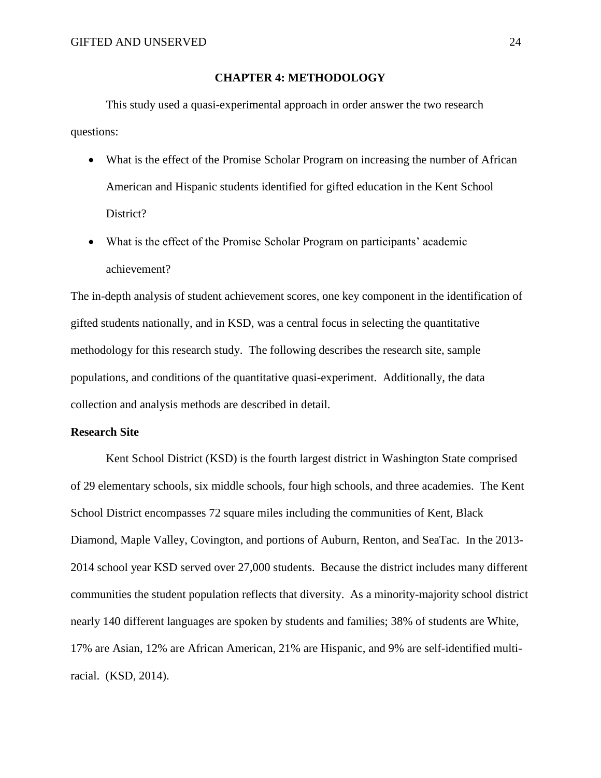# **CHAPTER 4: METHODOLOGY**

This study used a quasi-experimental approach in order answer the two research questions:

- What is the effect of the Promise Scholar Program on increasing the number of African American and Hispanic students identified for gifted education in the Kent School District?
- What is the effect of the Promise Scholar Program on participants' academic achievement?

The in-depth analysis of student achievement scores, one key component in the identification of gifted students nationally, and in KSD, was a central focus in selecting the quantitative methodology for this research study. The following describes the research site, sample populations, and conditions of the quantitative quasi-experiment. Additionally, the data collection and analysis methods are described in detail.

### **Research Site**

Kent School District (KSD) is the fourth largest district in Washington State comprised of 29 elementary schools, six middle schools, four high schools, and three academies. The Kent School District encompasses 72 square miles including the communities of Kent, Black Diamond, Maple Valley, Covington, and portions of Auburn, Renton, and SeaTac. In the 2013- 2014 school year KSD served over 27,000 students. Because the district includes many different communities the student population reflects that diversity. As a minority-majority school district nearly 140 different languages are spoken by students and families; 38% of students are White, 17% are Asian, 12% are African American, 21% are Hispanic, and 9% are self-identified multiracial. (KSD, 2014).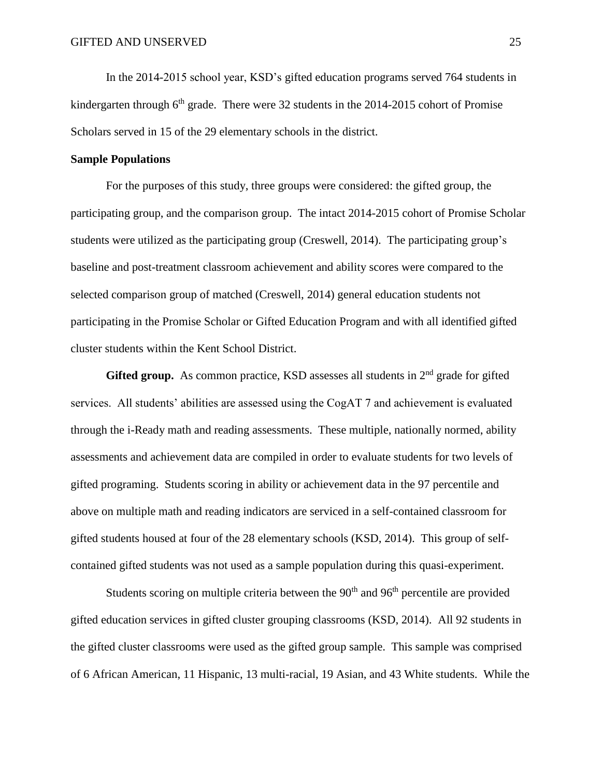In the 2014-2015 school year, KSD's gifted education programs served 764 students in kindergarten through  $6<sup>th</sup>$  grade. There were 32 students in the 2014-2015 cohort of Promise Scholars served in 15 of the 29 elementary schools in the district.

# **Sample Populations**

For the purposes of this study, three groups were considered: the gifted group, the participating group, and the comparison group. The intact 2014-2015 cohort of Promise Scholar students were utilized as the participating group (Creswell, 2014). The participating group's baseline and post-treatment classroom achievement and ability scores were compared to the selected comparison group of matched (Creswell, 2014) general education students not participating in the Promise Scholar or Gifted Education Program and with all identified gifted cluster students within the Kent School District.

**Gifted group.** As common practice, KSD assesses all students in  $2<sup>nd</sup>$  grade for gifted services. All students' abilities are assessed using the CogAT 7 and achievement is evaluated through the i-Ready math and reading assessments. These multiple, nationally normed, ability assessments and achievement data are compiled in order to evaluate students for two levels of gifted programing. Students scoring in ability or achievement data in the 97 percentile and above on multiple math and reading indicators are serviced in a self-contained classroom for gifted students housed at four of the 28 elementary schools (KSD, 2014). This group of selfcontained gifted students was not used as a sample population during this quasi-experiment.

Students scoring on multiple criteria between the  $90<sup>th</sup>$  and  $96<sup>th</sup>$  percentile are provided gifted education services in gifted cluster grouping classrooms (KSD, 2014). All 92 students in the gifted cluster classrooms were used as the gifted group sample. This sample was comprised of 6 African American, 11 Hispanic, 13 multi-racial, 19 Asian, and 43 White students. While the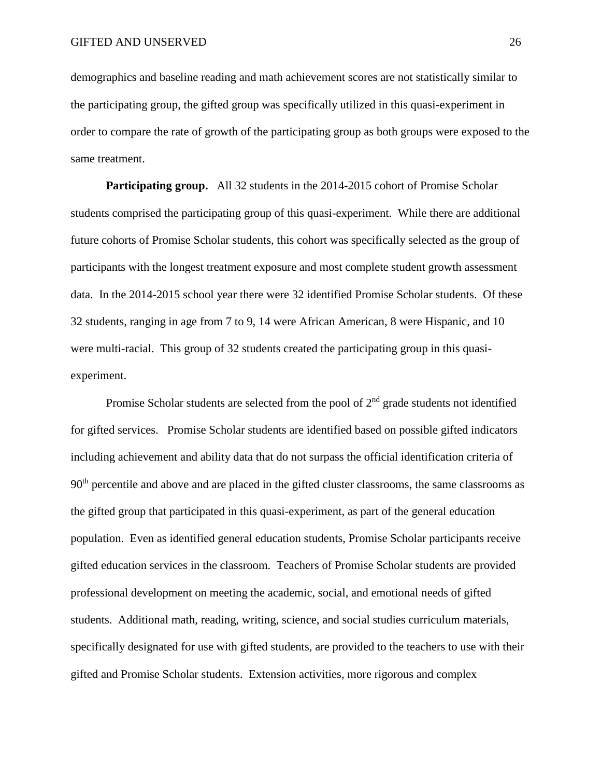demographics and baseline reading and math achievement scores are not statistically similar to the participating group, the gifted group was specifically utilized in this quasi-experiment in order to compare the rate of growth of the participating group as both groups were exposed to the same treatment.

**Participating group.** All 32 students in the 2014-2015 cohort of Promise Scholar students comprised the participating group of this quasi-experiment. While there are additional future cohorts of Promise Scholar students, this cohort was specifically selected as the group of participants with the longest treatment exposure and most complete student growth assessment data. In the 2014-2015 school year there were 32 identified Promise Scholar students. Of these 32 students, ranging in age from 7 to 9, 14 were African American, 8 were Hispanic, and 10 were multi-racial. This group of 32 students created the participating group in this quasiexperiment.

Promise Scholar students are selected from the pool of  $2<sup>nd</sup>$  grade students not identified for gifted services. Promise Scholar students are identified based on possible gifted indicators including achievement and ability data that do not surpass the official identification criteria of 90<sup>th</sup> percentile and above and are placed in the gifted cluster classrooms, the same classrooms as the gifted group that participated in this quasi-experiment, as part of the general education population. Even as identified general education students, Promise Scholar participants receive gifted education services in the classroom. Teachers of Promise Scholar students are provided professional development on meeting the academic, social, and emotional needs of gifted students. Additional math, reading, writing, science, and social studies curriculum materials, specifically designated for use with gifted students, are provided to the teachers to use with their gifted and Promise Scholar students. Extension activities, more rigorous and complex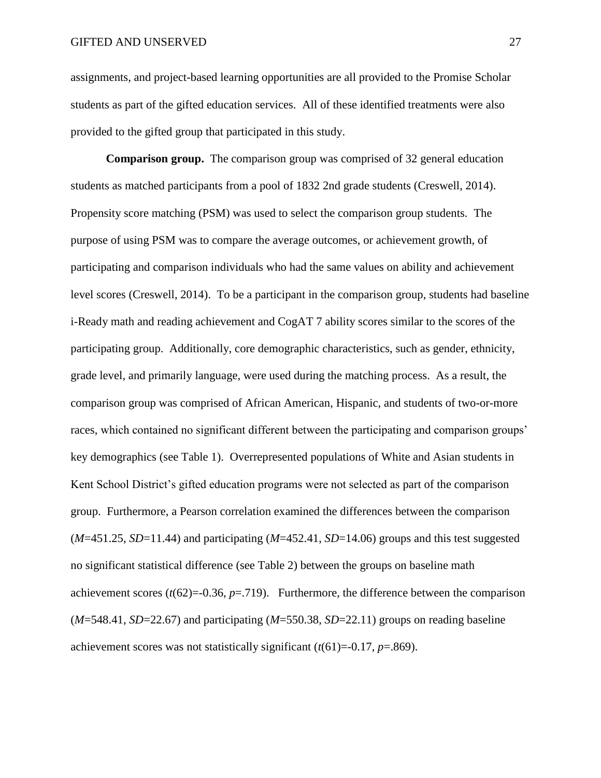assignments, and project-based learning opportunities are all provided to the Promise Scholar students as part of the gifted education services. All of these identified treatments were also provided to the gifted group that participated in this study.

**Comparison group.** The comparison group was comprised of 32 general education students as matched participants from a pool of 1832 2nd grade students (Creswell, 2014). Propensity score matching (PSM) was used to select the comparison group students. The purpose of using PSM was to compare the average outcomes, or achievement growth, of participating and comparison individuals who had the same values on ability and achievement level scores (Creswell, 2014). To be a participant in the comparison group, students had baseline i-Ready math and reading achievement and CogAT 7 ability scores similar to the scores of the participating group. Additionally, core demographic characteristics, such as gender, ethnicity, grade level, and primarily language, were used during the matching process. As a result, the comparison group was comprised of African American, Hispanic, and students of two-or-more races, which contained no significant different between the participating and comparison groups' key demographics (see Table 1). Overrepresented populations of White and Asian students in Kent School District's gifted education programs were not selected as part of the comparison group. Furthermore, a Pearson correlation examined the differences between the comparison (*M*=451.25, *SD*=11.44) and participating (*M*=452.41, *SD*=14.06) groups and this test suggested no significant statistical difference (see Table 2) between the groups on baseline math achievement scores  $(t(62)=0.36, p=0.719)$ . Furthermore, the difference between the comparison (*M*=548.41, *SD*=22.67) and participating (*M*=550.38, *SD*=22.11) groups on reading baseline achievement scores was not statistically significant (*t*(61)=-0.17, *p*=.869).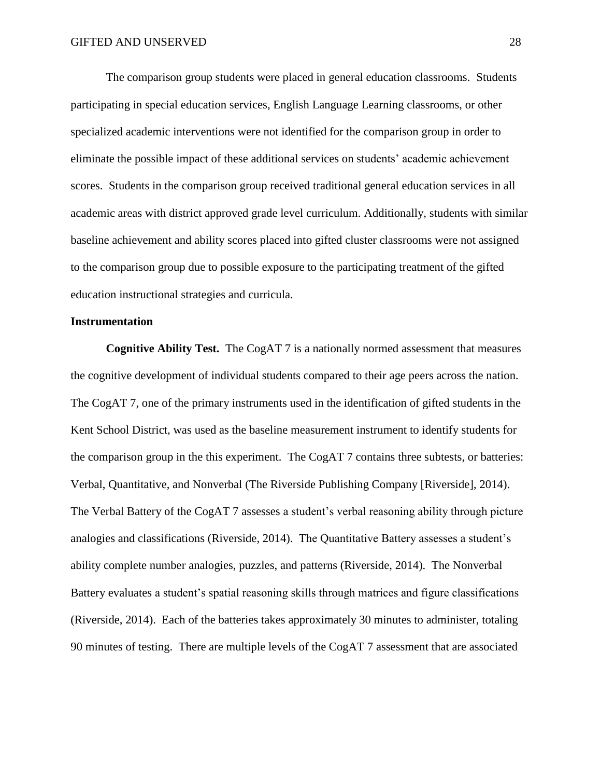The comparison group students were placed in general education classrooms. Students participating in special education services, English Language Learning classrooms, or other specialized academic interventions were not identified for the comparison group in order to eliminate the possible impact of these additional services on students' academic achievement scores. Students in the comparison group received traditional general education services in all academic areas with district approved grade level curriculum. Additionally, students with similar baseline achievement and ability scores placed into gifted cluster classrooms were not assigned to the comparison group due to possible exposure to the participating treatment of the gifted education instructional strategies and curricula.

#### **Instrumentation**

**Cognitive Ability Test.** The CogAT 7 is a nationally normed assessment that measures the cognitive development of individual students compared to their age peers across the nation. The CogAT 7, one of the primary instruments used in the identification of gifted students in the Kent School District, was used as the baseline measurement instrument to identify students for the comparison group in the this experiment. The CogAT 7 contains three subtests, or batteries: Verbal, Quantitative, and Nonverbal (The Riverside Publishing Company [Riverside], 2014). The Verbal Battery of the CogAT 7 assesses a student's verbal reasoning ability through picture analogies and classifications (Riverside, 2014). The Quantitative Battery assesses a student's ability complete number analogies, puzzles, and patterns (Riverside, 2014). The Nonverbal Battery evaluates a student's spatial reasoning skills through matrices and figure classifications (Riverside, 2014). Each of the batteries takes approximately 30 minutes to administer, totaling 90 minutes of testing. There are multiple levels of the CogAT 7 assessment that are associated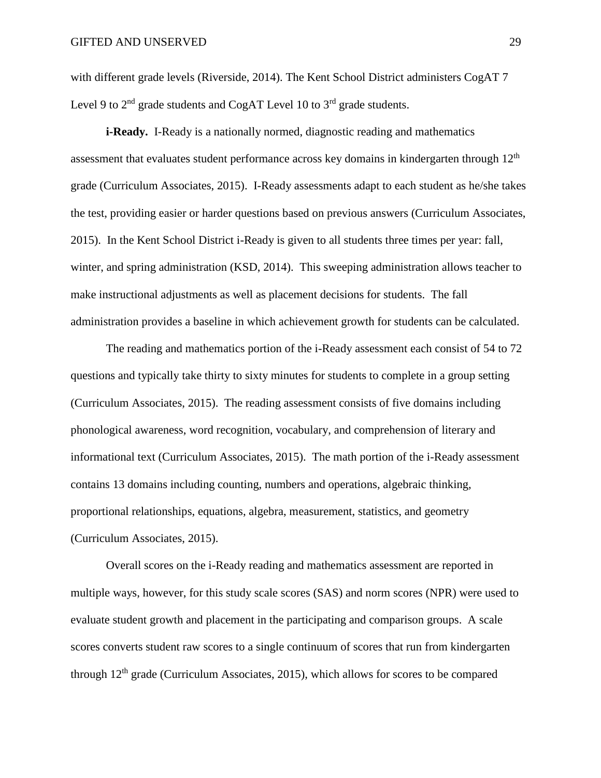with different grade levels (Riverside, 2014). The Kent School District administers CogAT 7 Level 9 to  $2<sup>nd</sup>$  grade students and CogAT Level 10 to  $3<sup>rd</sup>$  grade students.

**i-Ready.** I-Ready is a nationally normed, diagnostic reading and mathematics assessment that evaluates student performance across key domains in kindergarten through  $12<sup>th</sup>$ grade (Curriculum Associates, 2015). I-Ready assessments adapt to each student as he/she takes the test, providing easier or harder questions based on previous answers (Curriculum Associates, 2015). In the Kent School District i-Ready is given to all students three times per year: fall, winter, and spring administration (KSD, 2014). This sweeping administration allows teacher to make instructional adjustments as well as placement decisions for students. The fall administration provides a baseline in which achievement growth for students can be calculated.

The reading and mathematics portion of the i-Ready assessment each consist of 54 to 72 questions and typically take thirty to sixty minutes for students to complete in a group setting (Curriculum Associates, 2015). The reading assessment consists of five domains including phonological awareness, word recognition, vocabulary, and comprehension of literary and informational text (Curriculum Associates, 2015). The math portion of the i-Ready assessment contains 13 domains including counting, numbers and operations, algebraic thinking, proportional relationships, equations, algebra, measurement, statistics, and geometry (Curriculum Associates, 2015).

Overall scores on the i-Ready reading and mathematics assessment are reported in multiple ways, however, for this study scale scores (SAS) and norm scores (NPR) were used to evaluate student growth and placement in the participating and comparison groups. A scale scores converts student raw scores to a single continuum of scores that run from kindergarten through  $12<sup>th</sup>$  grade (Curriculum Associates, 2015), which allows for scores to be compared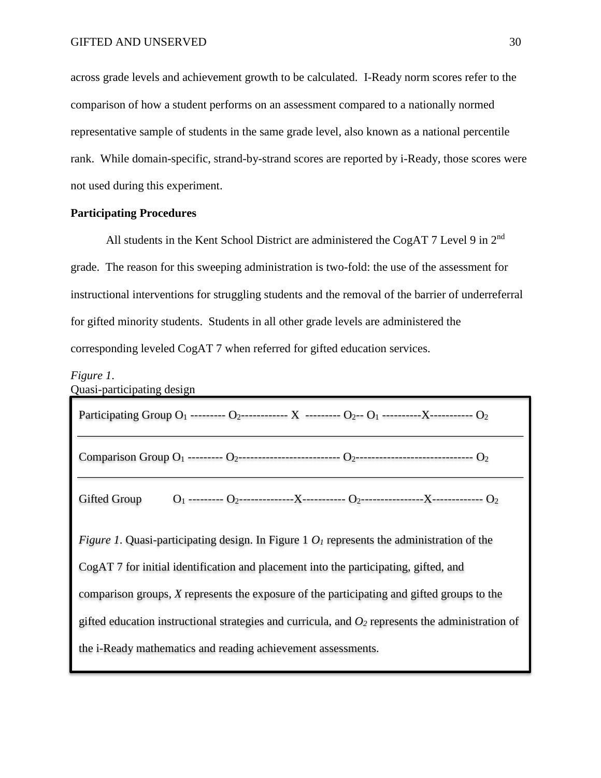across grade levels and achievement growth to be calculated. I-Ready norm scores refer to the comparison of how a student performs on an assessment compared to a nationally normed representative sample of students in the same grade level, also known as a national percentile rank. While domain-specific, strand-by-strand scores are reported by i-Ready, those scores were not used during this experiment.

### **Participating Procedures**

All students in the Kent School District are administered the CogAT 7 Level 9 in 2<sup>nd</sup> grade. The reason for this sweeping administration is two-fold: the use of the assessment for instructional interventions for struggling students and the removal of the barrier of underreferral for gifted minority students. Students in all other grade levels are administered the corresponding leveled CogAT 7 when referred for gifted education services.

#### *Figure 1*.

Quasi-participating design

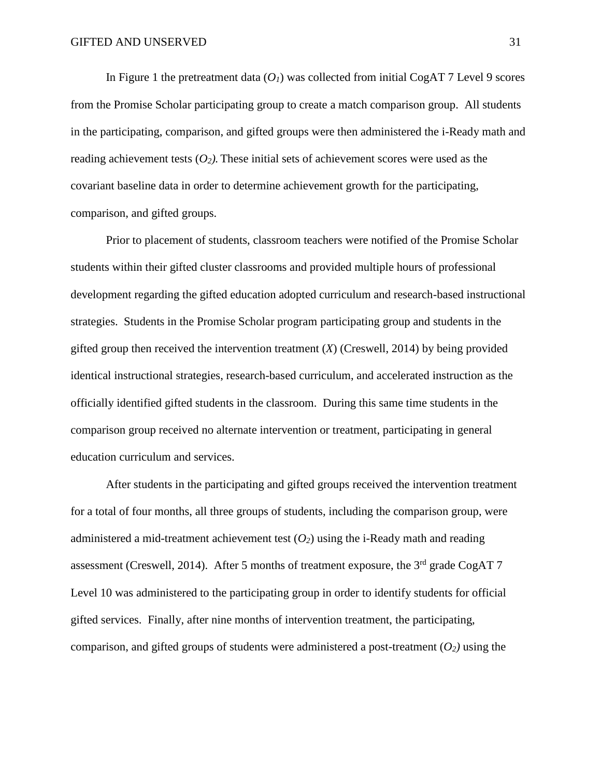In Figure 1 the pretreatment data  $(O_I)$  was collected from initial CogAT 7 Level 9 scores from the Promise Scholar participating group to create a match comparison group. All students in the participating, comparison, and gifted groups were then administered the i-Ready math and reading achievement tests  $(O_2)$ . These initial sets of achievement scores were used as the covariant baseline data in order to determine achievement growth for the participating, comparison, and gifted groups.

Prior to placement of students, classroom teachers were notified of the Promise Scholar students within their gifted cluster classrooms and provided multiple hours of professional development regarding the gifted education adopted curriculum and research-based instructional strategies. Students in the Promise Scholar program participating group and students in the gifted group then received the intervention treatment (*X*) (Creswell, 2014) by being provided identical instructional strategies, research-based curriculum, and accelerated instruction as the officially identified gifted students in the classroom. During this same time students in the comparison group received no alternate intervention or treatment, participating in general education curriculum and services.

After students in the participating and gifted groups received the intervention treatment for a total of four months, all three groups of students, including the comparison group, were administered a mid-treatment achievement test  $(O_2)$  using the i-Ready math and reading assessment (Creswell, 2014). After 5 months of treatment exposure, the  $3<sup>rd</sup>$  grade CogAT 7 Level 10 was administered to the participating group in order to identify students for official gifted services. Finally, after nine months of intervention treatment, the participating, comparison, and gifted groups of students were administered a post-treatment  $(O_2)$  using the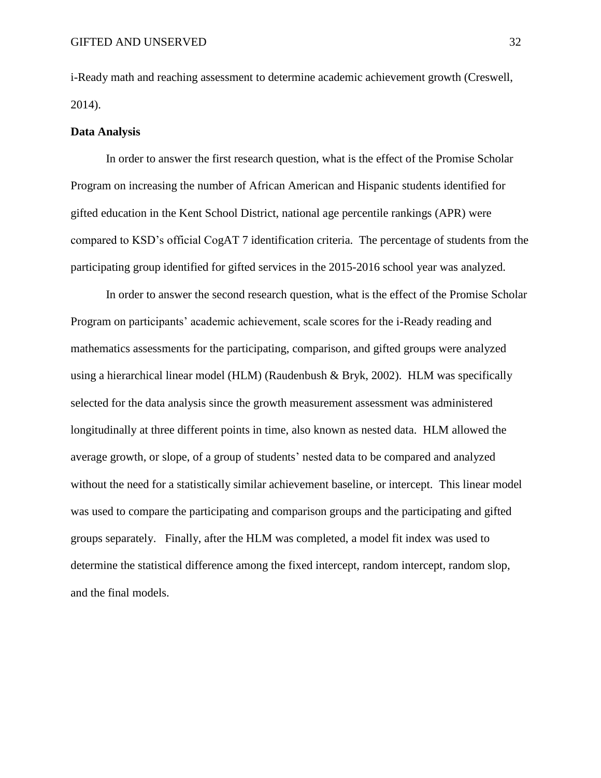i-Ready math and reaching assessment to determine academic achievement growth (Creswell, 2014).

#### **Data Analysis**

In order to answer the first research question, what is the effect of the Promise Scholar Program on increasing the number of African American and Hispanic students identified for gifted education in the Kent School District, national age percentile rankings (APR) were compared to KSD's official CogAT 7 identification criteria. The percentage of students from the participating group identified for gifted services in the 2015-2016 school year was analyzed.

In order to answer the second research question, what is the effect of the Promise Scholar Program on participants' academic achievement, scale scores for the i-Ready reading and mathematics assessments for the participating, comparison, and gifted groups were analyzed using a hierarchical linear model (HLM) (Raudenbush & Bryk, 2002). HLM was specifically selected for the data analysis since the growth measurement assessment was administered longitudinally at three different points in time, also known as nested data. HLM allowed the average growth, or slope, of a group of students' nested data to be compared and analyzed without the need for a statistically similar achievement baseline, or intercept. This linear model was used to compare the participating and comparison groups and the participating and gifted groups separately. Finally, after the HLM was completed, a model fit index was used to determine the statistical difference among the fixed intercept, random intercept, random slop, and the final models.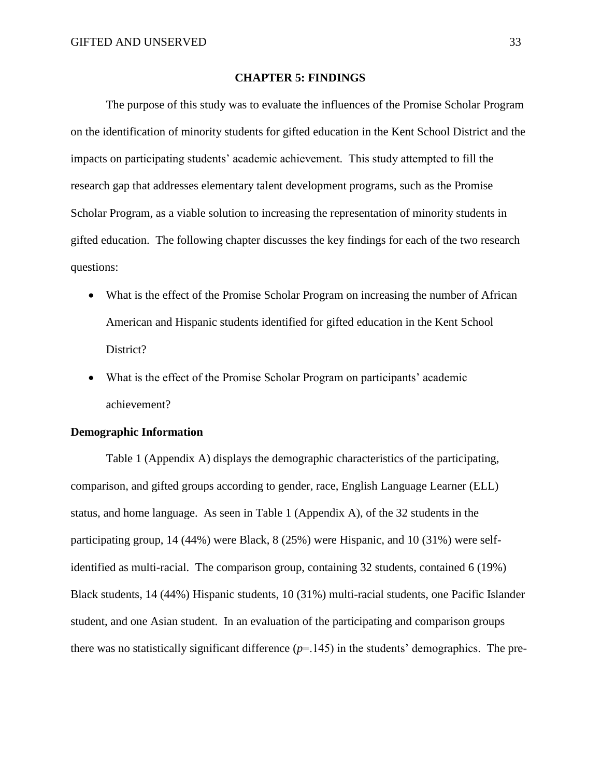#### **CHAPTER 5: FINDINGS**

The purpose of this study was to evaluate the influences of the Promise Scholar Program on the identification of minority students for gifted education in the Kent School District and the impacts on participating students' academic achievement. This study attempted to fill the research gap that addresses elementary talent development programs, such as the Promise Scholar Program, as a viable solution to increasing the representation of minority students in gifted education. The following chapter discusses the key findings for each of the two research questions:

- What is the effect of the Promise Scholar Program on increasing the number of African American and Hispanic students identified for gifted education in the Kent School District?
- What is the effect of the Promise Scholar Program on participants' academic achievement?

### **Demographic Information**

Table 1 (Appendix A) displays the demographic characteristics of the participating, comparison, and gifted groups according to gender, race, English Language Learner (ELL) status, and home language. As seen in Table 1 (Appendix A), of the 32 students in the participating group, 14 (44%) were Black, 8 (25%) were Hispanic, and 10 (31%) were selfidentified as multi-racial. The comparison group, containing 32 students, contained 6 (19%) Black students, 14 (44%) Hispanic students, 10 (31%) multi-racial students, one Pacific Islander student, and one Asian student. In an evaluation of the participating and comparison groups there was no statistically significant difference  $(p=145)$  in the students' demographics. The pre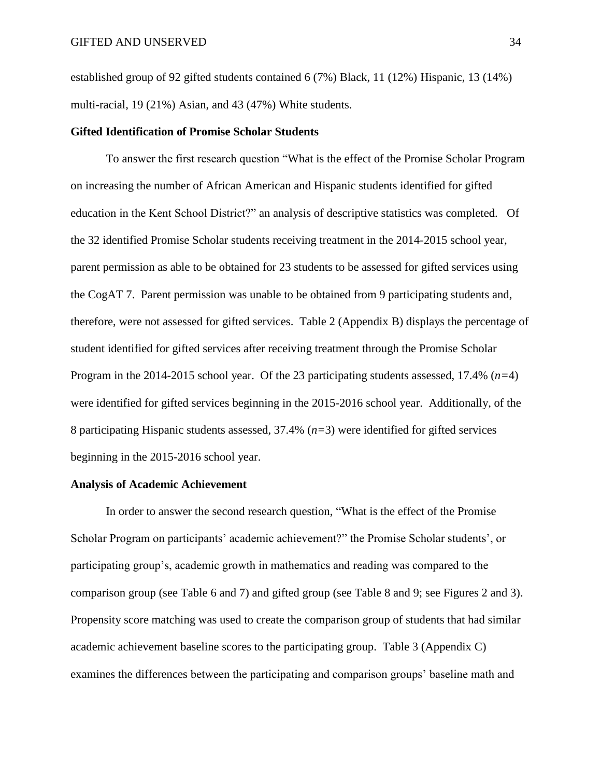established group of 92 gifted students contained 6 (7%) Black, 11 (12%) Hispanic, 13 (14%) multi-racial, 19 (21%) Asian, and 43 (47%) White students.

### **Gifted Identification of Promise Scholar Students**

To answer the first research question "What is the effect of the Promise Scholar Program on increasing the number of African American and Hispanic students identified for gifted education in the Kent School District?" an analysis of descriptive statistics was completed. Of the 32 identified Promise Scholar students receiving treatment in the 2014-2015 school year, parent permission as able to be obtained for 23 students to be assessed for gifted services using the CogAT 7. Parent permission was unable to be obtained from 9 participating students and, therefore, were not assessed for gifted services. Table 2 (Appendix B) displays the percentage of student identified for gifted services after receiving treatment through the Promise Scholar Program in the 2014-2015 school year. Of the 23 participating students assessed, 17.4% (*n=*4) were identified for gifted services beginning in the 2015-2016 school year. Additionally, of the 8 participating Hispanic students assessed, 37.4% (*n=*3) were identified for gifted services beginning in the 2015-2016 school year.

#### **Analysis of Academic Achievement**

In order to answer the second research question, "What is the effect of the Promise Scholar Program on participants' academic achievement?" the Promise Scholar students', or participating group's, academic growth in mathematics and reading was compared to the comparison group (see Table 6 and 7) and gifted group (see Table 8 and 9; see Figures 2 and 3). Propensity score matching was used to create the comparison group of students that had similar academic achievement baseline scores to the participating group. Table 3 (Appendix C) examines the differences between the participating and comparison groups' baseline math and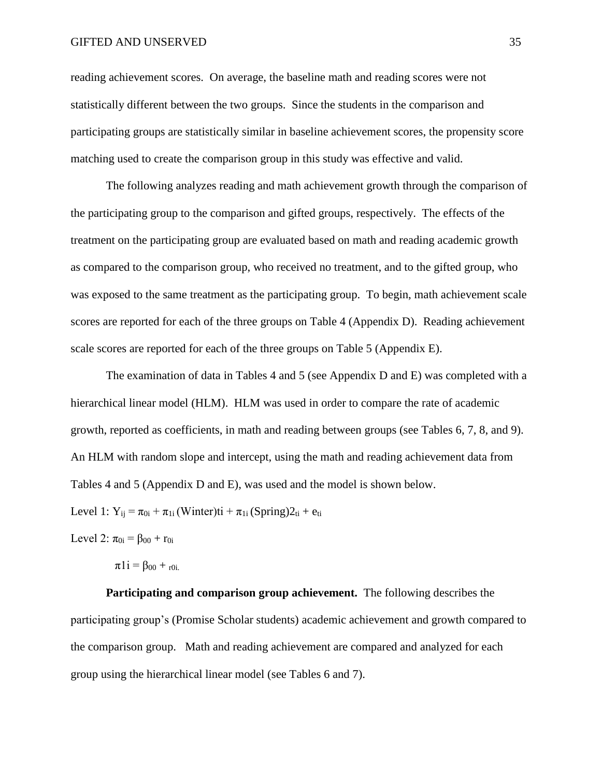reading achievement scores. On average, the baseline math and reading scores were not statistically different between the two groups. Since the students in the comparison and participating groups are statistically similar in baseline achievement scores, the propensity score matching used to create the comparison group in this study was effective and valid.

The following analyzes reading and math achievement growth through the comparison of the participating group to the comparison and gifted groups, respectively. The effects of the treatment on the participating group are evaluated based on math and reading academic growth as compared to the comparison group, who received no treatment, and to the gifted group, who was exposed to the same treatment as the participating group. To begin, math achievement scale scores are reported for each of the three groups on Table 4 (Appendix D). Reading achievement scale scores are reported for each of the three groups on Table 5 (Appendix E).

The examination of data in Tables 4 and 5 (see Appendix D and E) was completed with a hierarchical linear model (HLM). HLM was used in order to compare the rate of academic growth, reported as coefficients, in math and reading between groups (see Tables 6, 7, 8, and 9). An HLM with random slope and intercept, using the math and reading achievement data from Tables 4 and 5 (Appendix D and E), was used and the model is shown below.

Level 1:  $Y_{ij} = \pi_{0i} + \pi_{1i}$  (Winter)ti +  $\pi_{1i}$  (Spring) $2_{ti}$  +  $e_{ti}$ 

Level 2:  $\pi_{0i} = \beta_{00} + r_{0i}$ 

 $\pi 1i = \beta_{00} + r_{0i}$ .

**Participating and comparison group achievement.** The following describes the participating group's (Promise Scholar students) academic achievement and growth compared to the comparison group. Math and reading achievement are compared and analyzed for each group using the hierarchical linear model (see Tables 6 and 7).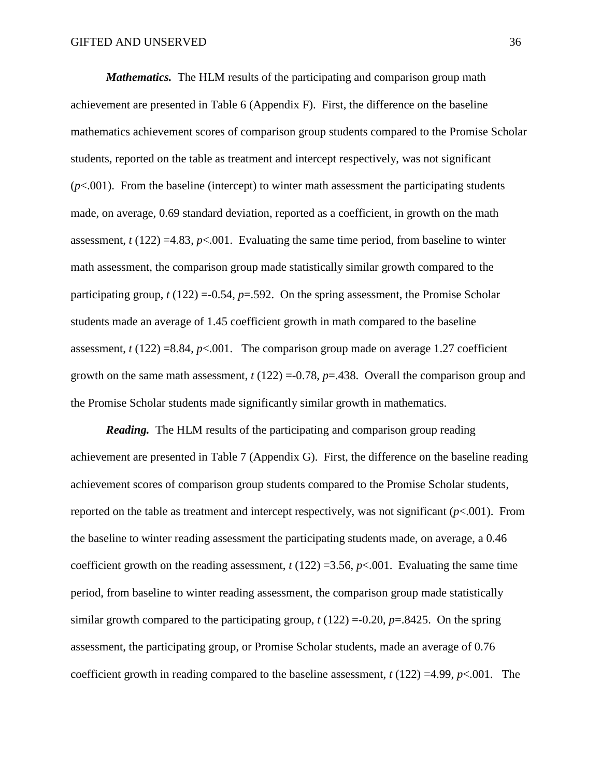*Mathematics.* The HLM results of the participating and comparison group math achievement are presented in Table 6 (Appendix F). First, the difference on the baseline mathematics achievement scores of comparison group students compared to the Promise Scholar students, reported on the table as treatment and intercept respectively, was not significant  $(p<.001)$ . From the baseline (intercept) to winter math assessment the participating students made, on average, 0.69 standard deviation, reported as a coefficient, in growth on the math assessment,  $t (122) = 4.83$ ,  $p < .001$ . Evaluating the same time period, from baseline to winter math assessment, the comparison group made statistically similar growth compared to the participating group,  $t(122) = 0.54$ ,  $p = .592$ . On the spring assessment, the Promise Scholar students made an average of 1.45 coefficient growth in math compared to the baseline assessment,  $t(122) = 8.84$ ,  $p < .001$ . The comparison group made on average 1.27 coefficient growth on the same math assessment,  $t(122) = -0.78$ ,  $p = 0.438$ . Overall the comparison group and the Promise Scholar students made significantly similar growth in mathematics.

*Reading.* The HLM results of the participating and comparison group reading achievement are presented in Table 7 (Appendix G). First, the difference on the baseline reading achievement scores of comparison group students compared to the Promise Scholar students, reported on the table as treatment and intercept respectively, was not significant (*p*<.001). From the baseline to winter reading assessment the participating students made, on average, a 0.46 coefficient growth on the reading assessment,  $t(122) = 3.56$ ,  $p < .001$ . Evaluating the same time period, from baseline to winter reading assessment, the comparison group made statistically similar growth compared to the participating group,  $t(122) = 0.20$ ,  $p = 0.8425$ . On the spring assessment, the participating group, or Promise Scholar students, made an average of 0.76 coefficient growth in reading compared to the baseline assessment,  $t(122) = 4.99$ ,  $p < .001$ . The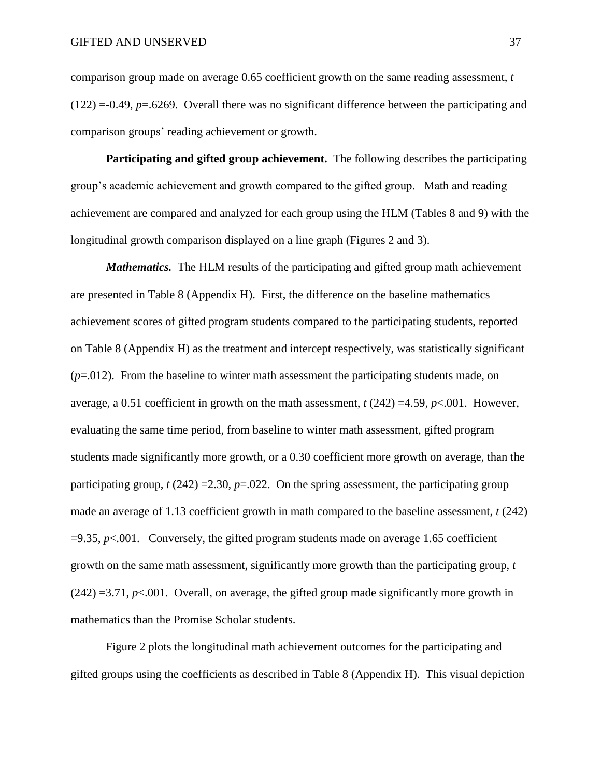comparison group made on average 0.65 coefficient growth on the same reading assessment, *t*  (122) =-0.49, *p*=.6269. Overall there was no significant difference between the participating and comparison groups' reading achievement or growth.

**Participating and gifted group achievement.** The following describes the participating group's academic achievement and growth compared to the gifted group. Math and reading achievement are compared and analyzed for each group using the HLM (Tables 8 and 9) with the longitudinal growth comparison displayed on a line graph (Figures 2 and 3).

*Mathematics.* The HLM results of the participating and gifted group math achievement are presented in Table 8 (Appendix H). First, the difference on the baseline mathematics achievement scores of gifted program students compared to the participating students, reported on Table 8 (Appendix H) as the treatment and intercept respectively, was statistically significant (*p*=.012). From the baseline to winter math assessment the participating students made, on average, a 0.51 coefficient in growth on the math assessment,  $t$  (242) =4.59,  $p$ <.001. However, evaluating the same time period, from baseline to winter math assessment, gifted program students made significantly more growth, or a 0.30 coefficient more growth on average, than the participating group,  $t(242) = 2.30$ ,  $p = .022$ . On the spring assessment, the participating group made an average of 1.13 coefficient growth in math compared to the baseline assessment, *t* (242)  $=9.35$ ,  $p<.001$ . Conversely, the gifted program students made on average 1.65 coefficient growth on the same math assessment, significantly more growth than the participating group, *t*   $(242) = 3.71$ ,  $p < 0.001$ . Overall, on average, the gifted group made significantly more growth in mathematics than the Promise Scholar students.

Figure 2 plots the longitudinal math achievement outcomes for the participating and gifted groups using the coefficients as described in Table 8 (Appendix H). This visual depiction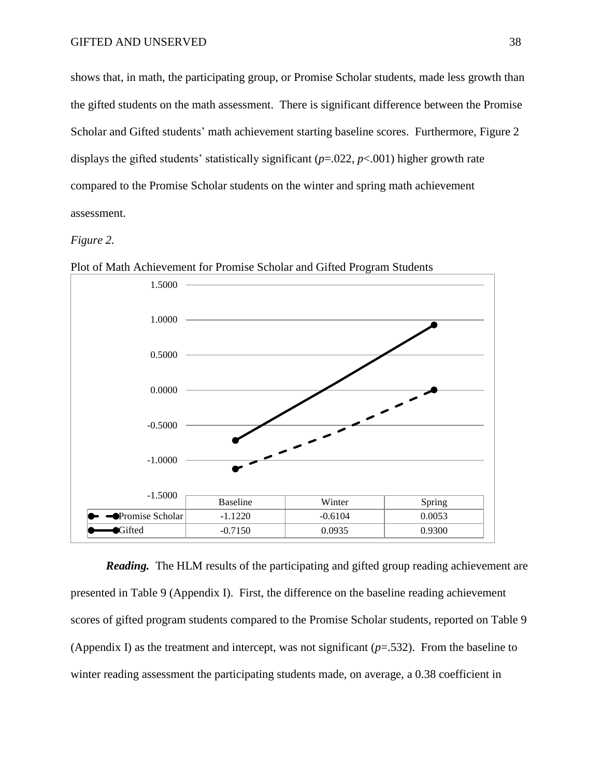shows that, in math, the participating group, or Promise Scholar students, made less growth than the gifted students on the math assessment. There is significant difference between the Promise Scholar and Gifted students' math achievement starting baseline scores. Furthermore, Figure 2 displays the gifted students' statistically significant (*p*=.022, *p*<.001) higher growth rate compared to the Promise Scholar students on the winter and spring math achievement assessment.

### *Figure 2.*



Plot of Math Achievement for Promise Scholar and Gifted Program Students

*Reading.* The HLM results of the participating and gifted group reading achievement are presented in Table 9 (Appendix I). First, the difference on the baseline reading achievement scores of gifted program students compared to the Promise Scholar students, reported on Table 9 (Appendix I) as the treatment and intercept, was not significant (*p*=.532). From the baseline to winter reading assessment the participating students made, on average, a 0.38 coefficient in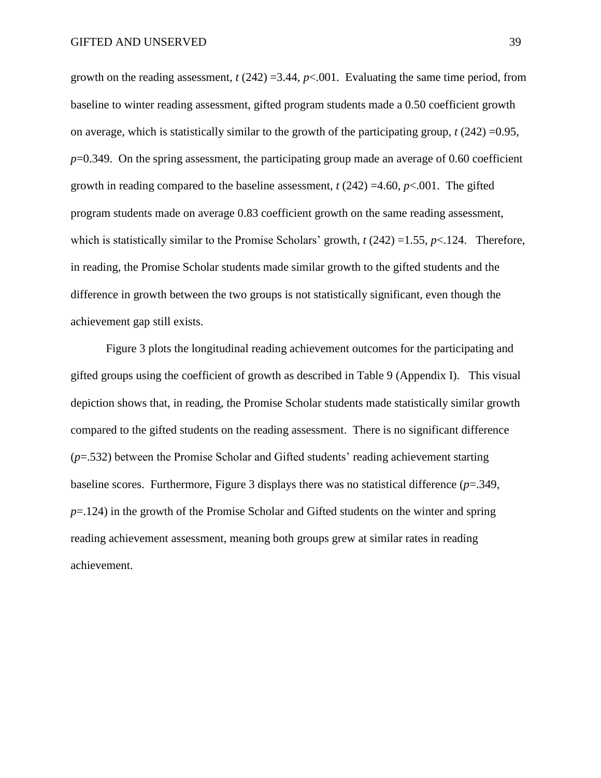growth on the reading assessment,  $t(242) = 3.44$ ,  $p < .001$ . Evaluating the same time period, from baseline to winter reading assessment, gifted program students made a 0.50 coefficient growth on average, which is statistically similar to the growth of the participating group, *t* (242) =0.95, *p*=0.349. On the spring assessment, the participating group made an average of 0.60 coefficient growth in reading compared to the baseline assessment,  $t(242) = 4.60$ ,  $p < .001$ . The gifted program students made on average 0.83 coefficient growth on the same reading assessment, which is statistically similar to the Promise Scholars' growth, *t* (242) =1.55, *p*<.124. Therefore, in reading, the Promise Scholar students made similar growth to the gifted students and the difference in growth between the two groups is not statistically significant, even though the achievement gap still exists.

Figure 3 plots the longitudinal reading achievement outcomes for the participating and gifted groups using the coefficient of growth as described in Table 9 (Appendix I). This visual depiction shows that, in reading, the Promise Scholar students made statistically similar growth compared to the gifted students on the reading assessment. There is no significant difference (*p*=.532) between the Promise Scholar and Gifted students' reading achievement starting baseline scores. Furthermore, Figure 3 displays there was no statistical difference (*p*=.349, *p*=.124) in the growth of the Promise Scholar and Gifted students on the winter and spring reading achievement assessment, meaning both groups grew at similar rates in reading achievement.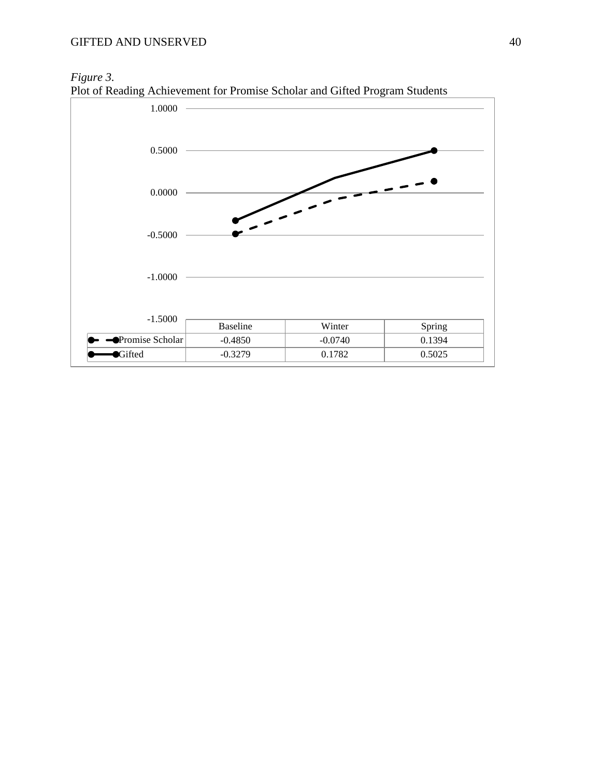## *Figure 3.*



Plot of Reading Achievement for Promise Scholar and Gifted Program Students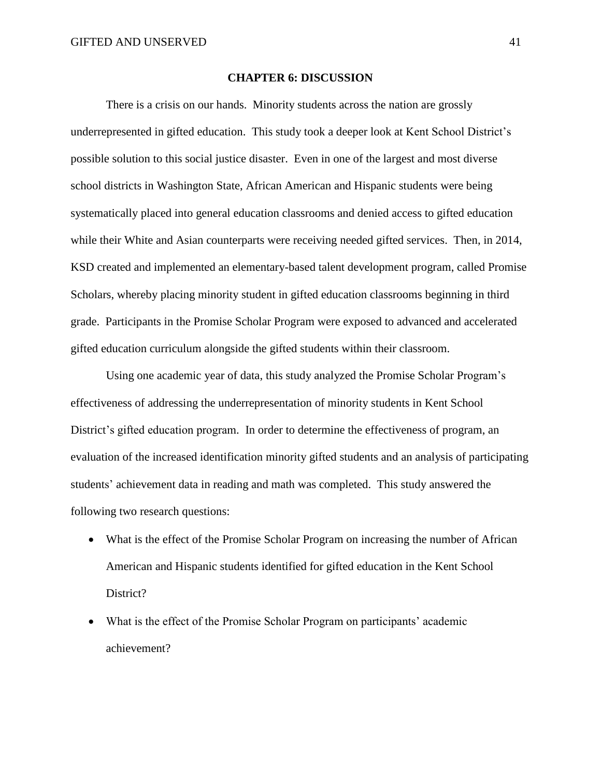#### **CHAPTER 6: DISCUSSION**

There is a crisis on our hands. Minority students across the nation are grossly underrepresented in gifted education. This study took a deeper look at Kent School District's possible solution to this social justice disaster. Even in one of the largest and most diverse school districts in Washington State, African American and Hispanic students were being systematically placed into general education classrooms and denied access to gifted education while their White and Asian counterparts were receiving needed gifted services. Then, in 2014, KSD created and implemented an elementary-based talent development program, called Promise Scholars, whereby placing minority student in gifted education classrooms beginning in third grade. Participants in the Promise Scholar Program were exposed to advanced and accelerated gifted education curriculum alongside the gifted students within their classroom.

Using one academic year of data, this study analyzed the Promise Scholar Program's effectiveness of addressing the underrepresentation of minority students in Kent School District's gifted education program. In order to determine the effectiveness of program, an evaluation of the increased identification minority gifted students and an analysis of participating students' achievement data in reading and math was completed. This study answered the following two research questions:

- What is the effect of the Promise Scholar Program on increasing the number of African American and Hispanic students identified for gifted education in the Kent School District?
- What is the effect of the Promise Scholar Program on participants' academic achievement?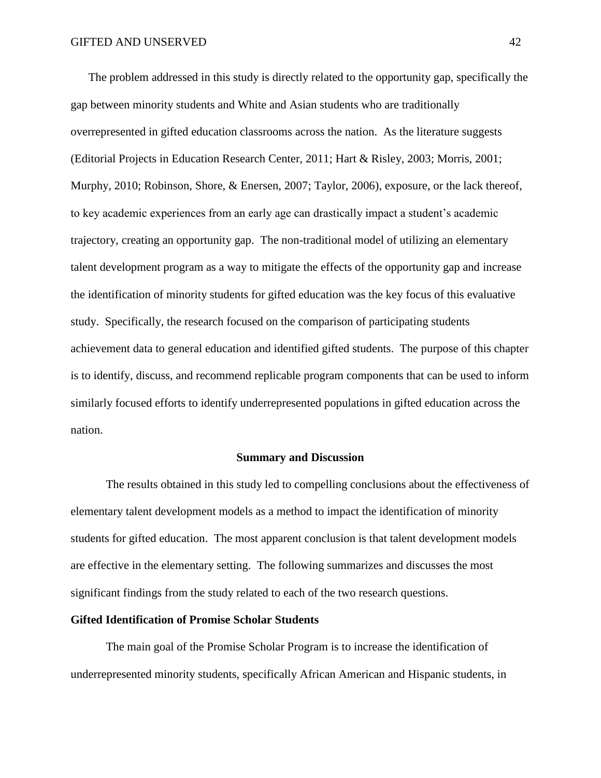The problem addressed in this study is directly related to the opportunity gap, specifically the gap between minority students and White and Asian students who are traditionally overrepresented in gifted education classrooms across the nation. As the literature suggests (Editorial Projects in Education Research Center, 2011; Hart & Risley, 2003; Morris, 2001; Murphy, 2010; Robinson, Shore, & Enersen, 2007; Taylor, 2006), exposure, or the lack thereof, to key academic experiences from an early age can drastically impact a student's academic trajectory, creating an opportunity gap. The non-traditional model of utilizing an elementary talent development program as a way to mitigate the effects of the opportunity gap and increase the identification of minority students for gifted education was the key focus of this evaluative study. Specifically, the research focused on the comparison of participating students achievement data to general education and identified gifted students. The purpose of this chapter is to identify, discuss, and recommend replicable program components that can be used to inform similarly focused efforts to identify underrepresented populations in gifted education across the nation.

#### **Summary and Discussion**

The results obtained in this study led to compelling conclusions about the effectiveness of elementary talent development models as a method to impact the identification of minority students for gifted education. The most apparent conclusion is that talent development models are effective in the elementary setting. The following summarizes and discusses the most significant findings from the study related to each of the two research questions.

### **Gifted Identification of Promise Scholar Students**

The main goal of the Promise Scholar Program is to increase the identification of underrepresented minority students, specifically African American and Hispanic students, in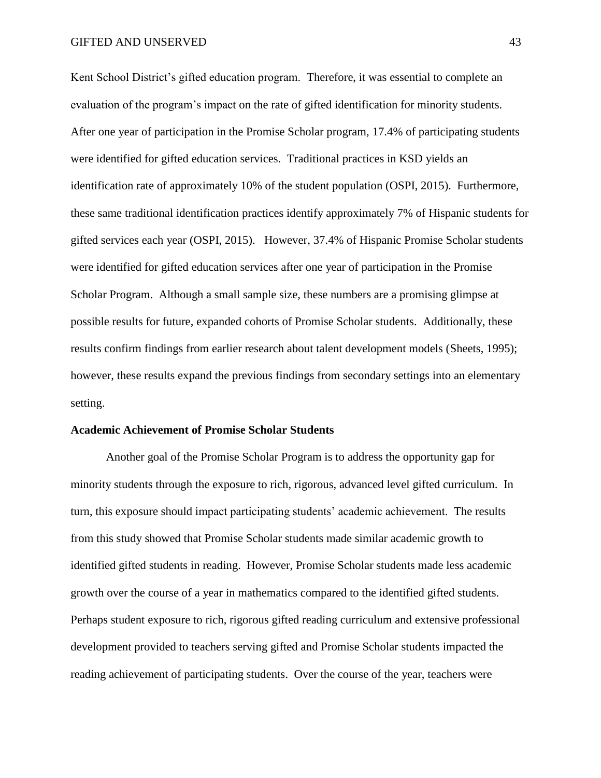Kent School District's gifted education program. Therefore, it was essential to complete an evaluation of the program's impact on the rate of gifted identification for minority students. After one year of participation in the Promise Scholar program, 17.4% of participating students were identified for gifted education services. Traditional practices in KSD yields an identification rate of approximately 10% of the student population (OSPI, 2015). Furthermore, these same traditional identification practices identify approximately 7% of Hispanic students for gifted services each year (OSPI, 2015). However, 37.4% of Hispanic Promise Scholar students were identified for gifted education services after one year of participation in the Promise Scholar Program. Although a small sample size, these numbers are a promising glimpse at possible results for future, expanded cohorts of Promise Scholar students. Additionally, these results confirm findings from earlier research about talent development models (Sheets, 1995); however, these results expand the previous findings from secondary settings into an elementary setting.

#### **Academic Achievement of Promise Scholar Students**

Another goal of the Promise Scholar Program is to address the opportunity gap for minority students through the exposure to rich, rigorous, advanced level gifted curriculum. In turn, this exposure should impact participating students' academic achievement. The results from this study showed that Promise Scholar students made similar academic growth to identified gifted students in reading. However, Promise Scholar students made less academic growth over the course of a year in mathematics compared to the identified gifted students. Perhaps student exposure to rich, rigorous gifted reading curriculum and extensive professional development provided to teachers serving gifted and Promise Scholar students impacted the reading achievement of participating students. Over the course of the year, teachers were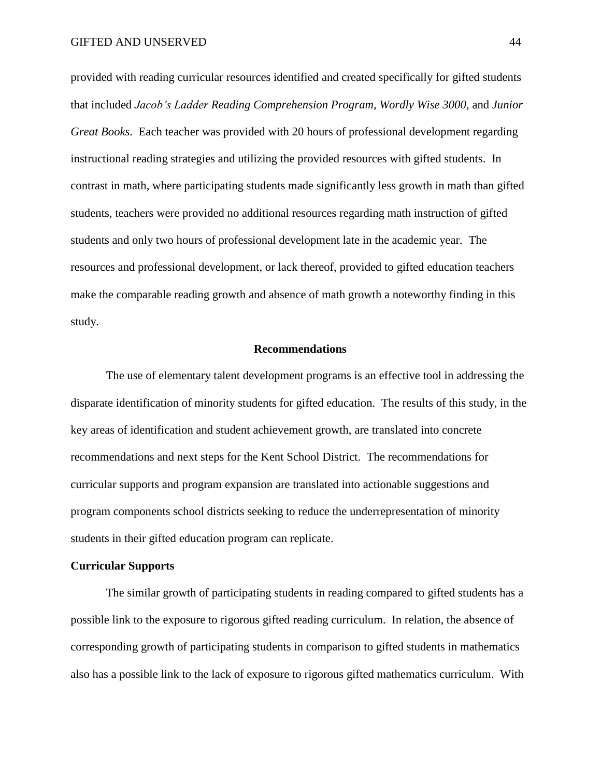provided with reading curricular resources identified and created specifically for gifted students that included *Jacob's Ladder Reading Comprehension Program*, *Wordly Wise 3000*, and *Junior Great Books*. Each teacher was provided with 20 hours of professional development regarding instructional reading strategies and utilizing the provided resources with gifted students. In contrast in math, where participating students made significantly less growth in math than gifted students, teachers were provided no additional resources regarding math instruction of gifted students and only two hours of professional development late in the academic year. The resources and professional development, or lack thereof, provided to gifted education teachers make the comparable reading growth and absence of math growth a noteworthy finding in this study.

#### **Recommendations**

The use of elementary talent development programs is an effective tool in addressing the disparate identification of minority students for gifted education. The results of this study, in the key areas of identification and student achievement growth, are translated into concrete recommendations and next steps for the Kent School District. The recommendations for curricular supports and program expansion are translated into actionable suggestions and program components school districts seeking to reduce the underrepresentation of minority students in their gifted education program can replicate.

#### **Curricular Supports**

The similar growth of participating students in reading compared to gifted students has a possible link to the exposure to rigorous gifted reading curriculum. In relation, the absence of corresponding growth of participating students in comparison to gifted students in mathematics also has a possible link to the lack of exposure to rigorous gifted mathematics curriculum. With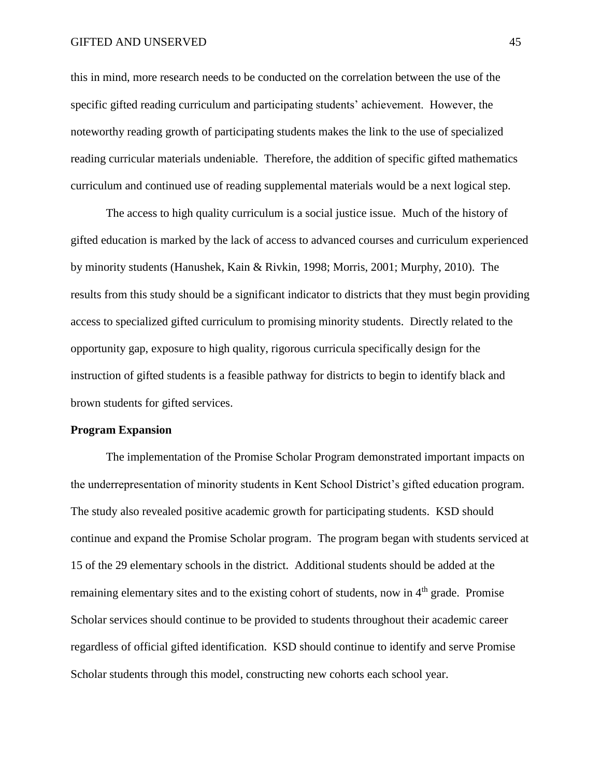#### GIFTED AND UNSERVED 45

this in mind, more research needs to be conducted on the correlation between the use of the specific gifted reading curriculum and participating students' achievement. However, the noteworthy reading growth of participating students makes the link to the use of specialized reading curricular materials undeniable. Therefore, the addition of specific gifted mathematics curriculum and continued use of reading supplemental materials would be a next logical step.

The access to high quality curriculum is a social justice issue. Much of the history of gifted education is marked by the lack of access to advanced courses and curriculum experienced by minority students (Hanushek, Kain & Rivkin, 1998; Morris, 2001; Murphy, 2010). The results from this study should be a significant indicator to districts that they must begin providing access to specialized gifted curriculum to promising minority students. Directly related to the opportunity gap, exposure to high quality, rigorous curricula specifically design for the instruction of gifted students is a feasible pathway for districts to begin to identify black and brown students for gifted services.

### **Program Expansion**

The implementation of the Promise Scholar Program demonstrated important impacts on the underrepresentation of minority students in Kent School District's gifted education program. The study also revealed positive academic growth for participating students. KSD should continue and expand the Promise Scholar program. The program began with students serviced at 15 of the 29 elementary schools in the district. Additional students should be added at the remaining elementary sites and to the existing cohort of students, now in  $4<sup>th</sup>$  grade. Promise Scholar services should continue to be provided to students throughout their academic career regardless of official gifted identification. KSD should continue to identify and serve Promise Scholar students through this model, constructing new cohorts each school year.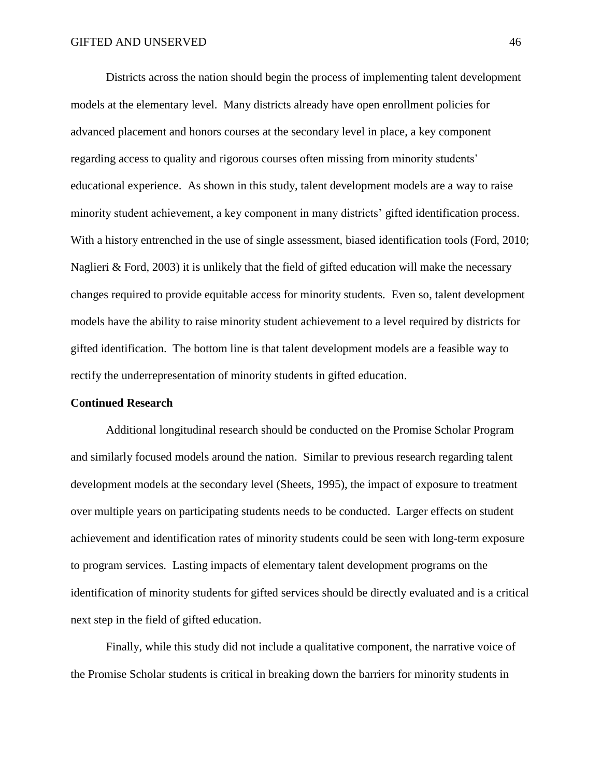Districts across the nation should begin the process of implementing talent development models at the elementary level. Many districts already have open enrollment policies for advanced placement and honors courses at the secondary level in place, a key component regarding access to quality and rigorous courses often missing from minority students' educational experience. As shown in this study, talent development models are a way to raise minority student achievement, a key component in many districts' gifted identification process. With a history entrenched in the use of single assessment, biased identification tools (Ford, 2010; Naglieri & Ford, 2003) it is unlikely that the field of gifted education will make the necessary changes required to provide equitable access for minority students. Even so, talent development models have the ability to raise minority student achievement to a level required by districts for gifted identification. The bottom line is that talent development models are a feasible way to rectify the underrepresentation of minority students in gifted education.

### **Continued Research**

Additional longitudinal research should be conducted on the Promise Scholar Program and similarly focused models around the nation. Similar to previous research regarding talent development models at the secondary level (Sheets, 1995), the impact of exposure to treatment over multiple years on participating students needs to be conducted. Larger effects on student achievement and identification rates of minority students could be seen with long-term exposure to program services. Lasting impacts of elementary talent development programs on the identification of minority students for gifted services should be directly evaluated and is a critical next step in the field of gifted education.

Finally, while this study did not include a qualitative component, the narrative voice of the Promise Scholar students is critical in breaking down the barriers for minority students in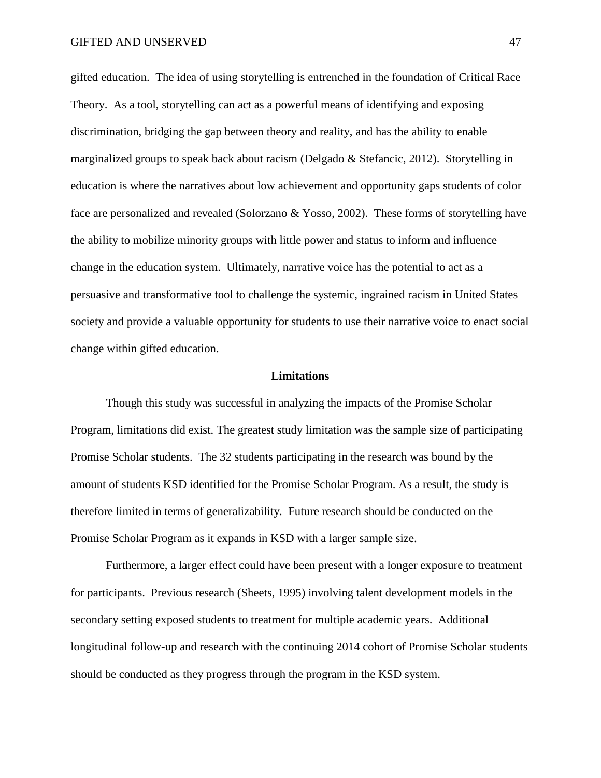gifted education. The idea of using storytelling is entrenched in the foundation of Critical Race Theory. As a tool, storytelling can act as a powerful means of identifying and exposing discrimination, bridging the gap between theory and reality, and has the ability to enable marginalized groups to speak back about racism (Delgado & Stefancic, 2012). Storytelling in education is where the narratives about low achievement and opportunity gaps students of color face are personalized and revealed (Solorzano & Yosso, 2002). These forms of storytelling have the ability to mobilize minority groups with little power and status to inform and influence change in the education system. Ultimately, narrative voice has the potential to act as a persuasive and transformative tool to challenge the systemic, ingrained racism in United States society and provide a valuable opportunity for students to use their narrative voice to enact social change within gifted education.

#### **Limitations**

Though this study was successful in analyzing the impacts of the Promise Scholar Program, limitations did exist. The greatest study limitation was the sample size of participating Promise Scholar students. The 32 students participating in the research was bound by the amount of students KSD identified for the Promise Scholar Program. As a result, the study is therefore limited in terms of generalizability. Future research should be conducted on the Promise Scholar Program as it expands in KSD with a larger sample size.

Furthermore, a larger effect could have been present with a longer exposure to treatment for participants. Previous research (Sheets, 1995) involving talent development models in the secondary setting exposed students to treatment for multiple academic years. Additional longitudinal follow-up and research with the continuing 2014 cohort of Promise Scholar students should be conducted as they progress through the program in the KSD system.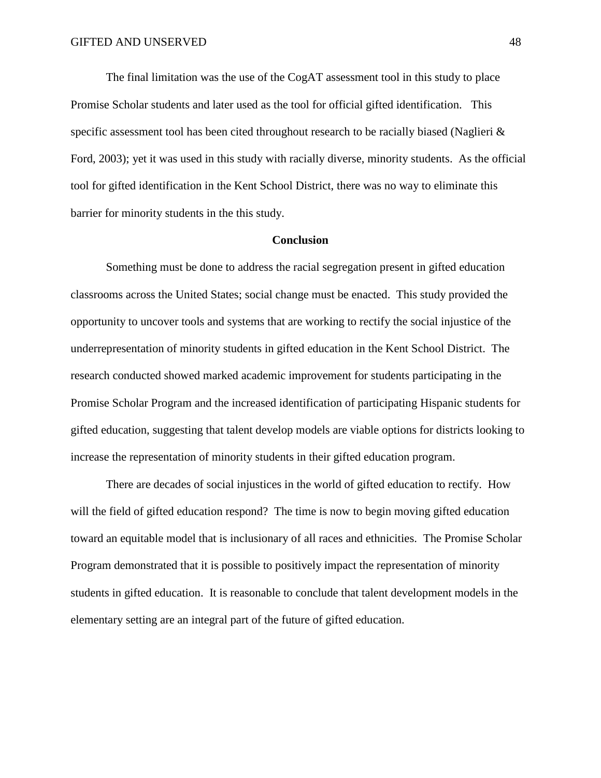The final limitation was the use of the CogAT assessment tool in this study to place Promise Scholar students and later used as the tool for official gifted identification. This specific assessment tool has been cited throughout research to be racially biased (Naglieri & Ford, 2003); yet it was used in this study with racially diverse, minority students. As the official tool for gifted identification in the Kent School District, there was no way to eliminate this barrier for minority students in the this study.

### **Conclusion**

Something must be done to address the racial segregation present in gifted education classrooms across the United States; social change must be enacted. This study provided the opportunity to uncover tools and systems that are working to rectify the social injustice of the underrepresentation of minority students in gifted education in the Kent School District. The research conducted showed marked academic improvement for students participating in the Promise Scholar Program and the increased identification of participating Hispanic students for gifted education, suggesting that talent develop models are viable options for districts looking to increase the representation of minority students in their gifted education program.

There are decades of social injustices in the world of gifted education to rectify. How will the field of gifted education respond? The time is now to begin moving gifted education toward an equitable model that is inclusionary of all races and ethnicities. The Promise Scholar Program demonstrated that it is possible to positively impact the representation of minority students in gifted education. It is reasonable to conclude that talent development models in the elementary setting are an integral part of the future of gifted education.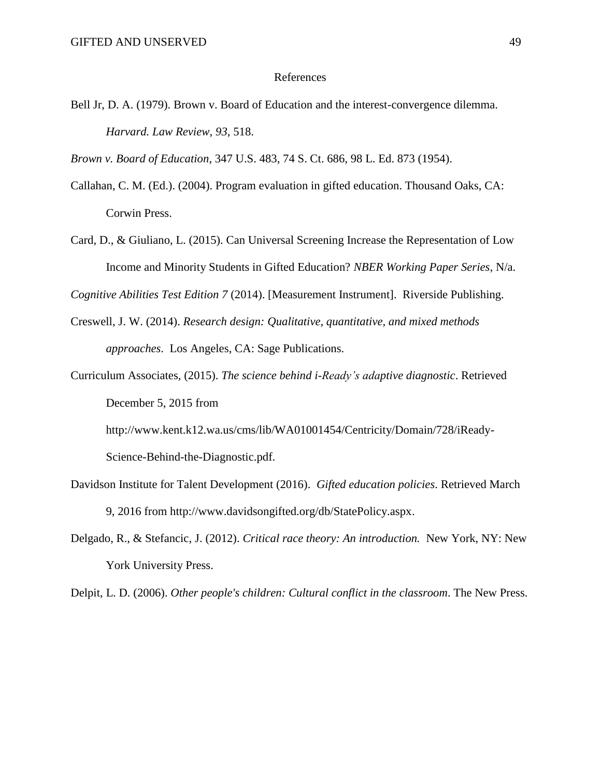#### References

Bell Jr, D. A. (1979). Brown v. Board of Education and the interest-convergence dilemma. *Harvard. Law Review*, *93*, 518.

*Brown v. Board of Education*, 347 U.S. 483, 74 S. Ct. 686, 98 L. Ed. 873 (1954).

- Callahan, C. M. (Ed.). (2004). Program evaluation in gifted education. Thousand Oaks, CA: Corwin Press.
- Card, D., & Giuliano, L. (2015). Can Universal Screening Increase the Representation of Low Income and Minority Students in Gifted Education? *NBER Working Paper Series,* N/a.

*Cognitive Abilities Test Edition 7* (2014). [Measurement Instrument]. Riverside Publishing.

- Creswell, J. W. (2014). *Research design: Qualitative, quantitative, and mixed methods approaches*. Los Angeles, CA: Sage Publications.
- Curriculum Associates, (2015). *The science behind i-Ready's adaptive diagnostic*. Retrieved December 5, 2015 from

http://www.kent.k12.wa.us/cms/lib/WA01001454/Centricity/Domain/728/iReady-

Science-Behind-the-Diagnostic.pdf.

- Davidson Institute for Talent Development (2016). *Gifted education policies*. Retrieved March 9, 2016 from http://www.davidsongifted.org/db/StatePolicy.aspx.
- Delgado, R., & Stefancic, J. (2012). *Critical race theory: An introduction.* New York, NY: New York University Press.

Delpit, L. D. (2006). *Other people's children: Cultural conflict in the classroom*. The New Press.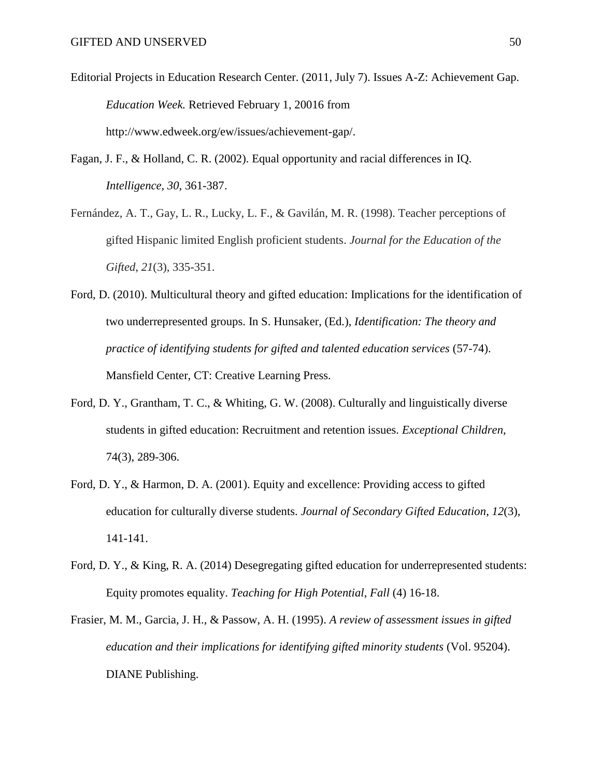- Editorial Projects in Education Research Center. (2011, July 7). Issues A-Z: Achievement Gap. *Education Week.* Retrieved February 1, 20016 from http://www.edweek.org/ew/issues/achievement-gap/.
- Fagan, J. F., & Holland, C. R. (2002). Equal opportunity and racial differences in IQ. *Intelligence, 30*, 361-387.
- Fernández, A. T., Gay, L. R., Lucky, L. F., & Gavilán, M. R. (1998). Teacher perceptions of gifted Hispanic limited English proficient students. *Journal for the Education of the Gifted*, *21*(3), 335-351.
- Ford, D. (2010). Multicultural theory and gifted education: Implications for the identification of two underrepresented groups. In S. Hunsaker, (Ed.), *Identification: The theory and practice of identifying students for gifted and talented education services* (57-74). Mansfield Center, CT: Creative Learning Press.
- Ford, D. Y., Grantham, T. C., & Whiting, G. W. (2008). Culturally and linguistically diverse students in gifted education: Recruitment and retention issues. *Exceptional Children*, 74(3), 289-306.
- Ford, D. Y., & Harmon, D. A. (2001). Equity and excellence: Providing access to gifted education for culturally diverse students. *Journal of Secondary Gifted Education*, *12*(3), 141-141.
- Ford, D. Y., & King, R. A. (2014) Desegregating gifted education for underrepresented students: Equity promotes equality. *Teaching for High Potential*, *Fall* (4) 16-18.
- Frasier, M. M., Garcia, J. H., & Passow, A. H. (1995). *A review of assessment issues in gifted education and their implications for identifying gifted minority students* (Vol. 95204). DIANE Publishing.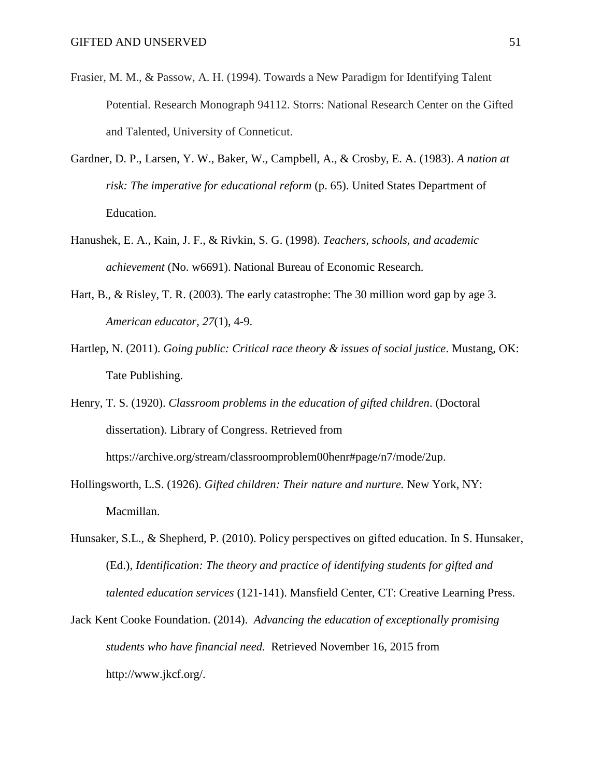- Frasier, M. M., & Passow, A. H. (1994). Towards a New Paradigm for Identifying Talent Potential. Research Monograph 94112. Storrs: National Research Center on the Gifted and Talented, University of Conneticut.
- Gardner, D. P., Larsen, Y. W., Baker, W., Campbell, A., & Crosby, E. A. (1983). *A nation at risk: The imperative for educational reform* (p. 65). United States Department of Education.
- Hanushek, E. A., Kain, J. F., & Rivkin, S. G. (1998). *Teachers, schools, and academic achievement* (No. w6691). National Bureau of Economic Research.
- Hart, B., & Risley, T. R. (2003). The early catastrophe: The 30 million word gap by age 3. *American educator*, *27*(1), 4-9.
- Hartlep, N. (2011). *Going public: Critical race theory & issues of social justice*. Mustang, OK: Tate Publishing.
- Henry, T. S. (1920). *Classroom problems in the education of gifted children*. (Doctoral dissertation). Library of Congress. Retrieved from https://archive.org/stream/classroomproblem00henr#page/n7/mode/2up.
- Hollingsworth, L.S. (1926). *Gifted children: Their nature and nurture.* New York, NY: Macmillan.
- Hunsaker, S.L., & Shepherd, P. (2010). Policy perspectives on gifted education. In S. Hunsaker, (Ed.), *Identification: The theory and practice of identifying students for gifted and talented education services* (121-141). Mansfield Center, CT: Creative Learning Press.
- Jack Kent Cooke Foundation. (2014). *Advancing the education of exceptionally promising students who have financial need.* Retrieved November 16, 2015 from http://www.jkcf.org/.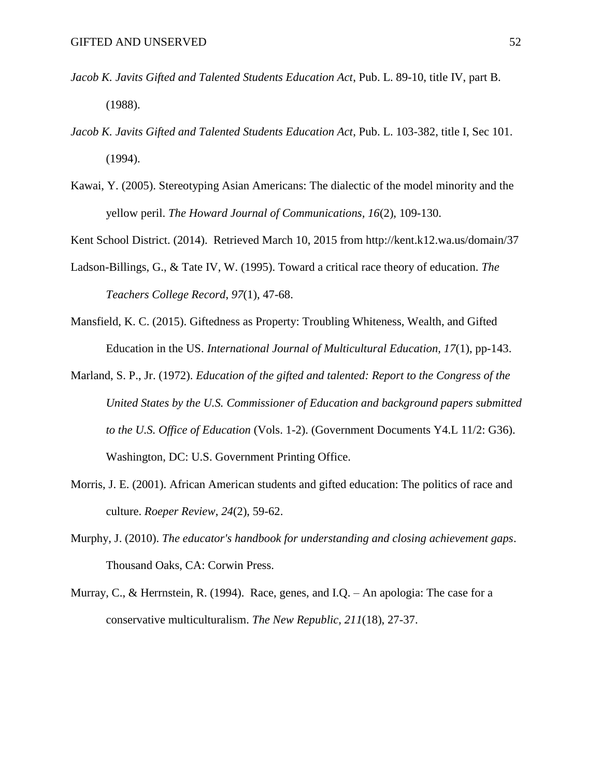- *Jacob K. Javits Gifted and Talented Students Education Act*, Pub. L. 89-10, title IV, part B. (1988).
- *Jacob K. Javits Gifted and Talented Students Education Act*, Pub. L. 103-382, title I, Sec 101. (1994).
- Kawai, Y. (2005). Stereotyping Asian Americans: The dialectic of the model minority and the yellow peril. *The Howard Journal of Communications, 16*(2), 109-130.

Kent School District. (2014). Retrieved March 10, 2015 from http://kent.k12.wa.us/domain/37

- Ladson-Billings, G., & Tate IV, W. (1995). Toward a critical race theory of education. *The Teachers College Record*, *97*(1), 47-68.
- Mansfield, K. C. (2015). Giftedness as Property: Troubling Whiteness, Wealth, and Gifted Education in the US. *International Journal of Multicultural Education, 17*(1), pp-143.
- Marland, S. P., Jr. (1972). *Education of the gifted and talented: Report to the Congress of the United States by the U.S. Commissioner of Education and background papers submitted to the U.S. Office of Education* (Vols. 1-2). (Government Documents Y4.L 11/2: G36). Washington, DC: U.S. Government Printing Office.
- Morris, J. E. (2001). African American students and gifted education: The politics of race and culture. *Roeper Review*, *24*(2), 59-62.
- Murphy, J. (2010). *The educator's handbook for understanding and closing achievement gaps*. Thousand Oaks, CA: Corwin Press.
- Murray, C., & Herrnstein, R. (1994). Race, genes, and I.Q. An apologia: The case for a conservative multiculturalism. *The New Republic, 211*(18), 27-37.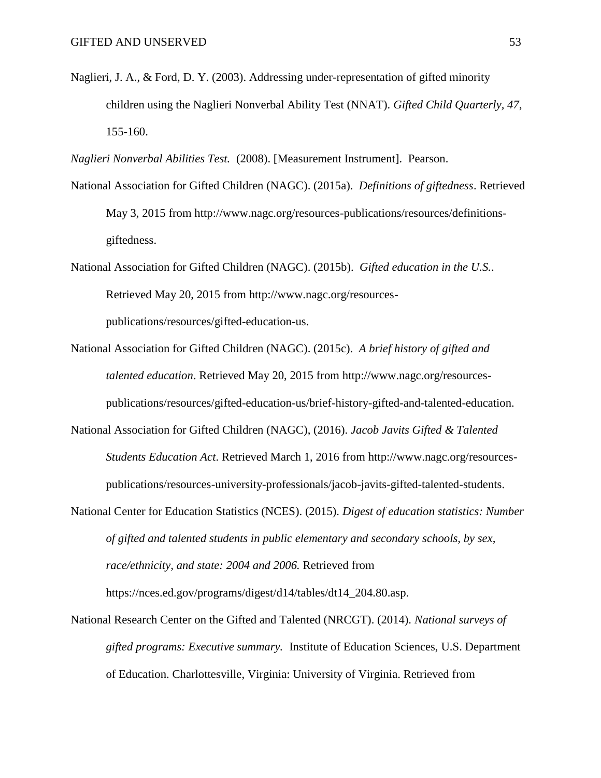- Naglieri, J. A., & Ford, D. Y. (2003). Addressing under-representation of gifted minority children using the Naglieri Nonverbal Ability Test (NNAT). *Gifted Child Quarterly, 47*, 155-160.
- *Naglieri Nonverbal Abilities Test.* (2008). [Measurement Instrument]. Pearson.
- National Association for Gifted Children (NAGC). (2015a). *Definitions of giftedness*. Retrieved May 3, 2015 from http://www.nagc.org/resources-publications/resources/definitionsgiftedness.
- National Association for Gifted Children (NAGC). (2015b). *Gifted education in the U.S.*. Retrieved May 20, 2015 from http://www.nagc.org/resourcespublications/resources/gifted-education-us.
- National Association for Gifted Children (NAGC). (2015c). *A brief history of gifted and talented education*. Retrieved May 20, 2015 from http://www.nagc.org/resourcespublications/resources/gifted-education-us/brief-history-gifted-and-talented-education.
- National Association for Gifted Children (NAGC), (2016). *Jacob Javits Gifted & Talented Students Education Act*. Retrieved March 1, 2016 from http://www.nagc.org/resourcespublications/resources-university-professionals/jacob-javits-gifted-talented-students.
- National Center for Education Statistics (NCES). (2015). *Digest of education statistics: Number of gifted and talented students in public elementary and secondary schools, by sex, race/ethnicity, and state: 2004 and 2006.* Retrieved from https://nces.ed.gov/programs/digest/d14/tables/dt14\_204.80.asp.
- National Research Center on the Gifted and Talented (NRCGT). (2014). *National surveys of gifted programs: Executive summary.* Institute of Education Sciences, U.S. Department of Education. Charlottesville, Virginia: University of Virginia. Retrieved from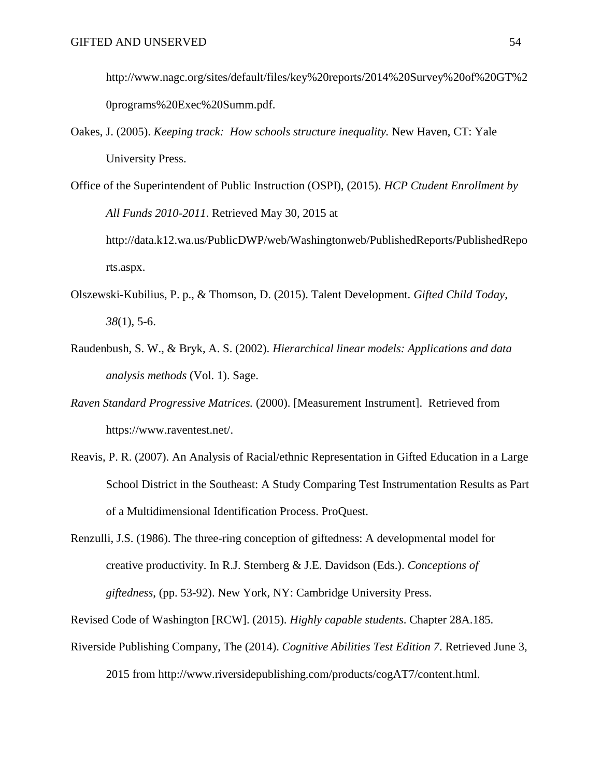http://www.nagc.org/sites/default/files/key%20reports/2014%20Survey%20of%20GT%2 0programs%20Exec%20Summ.pdf.

- Oakes, J. (2005). *Keeping track: How schools structure inequality.* New Haven, CT: Yale University Press.
- Office of the Superintendent of Public Instruction (OSPI), (2015). *HCP Ctudent Enrollment by All Funds 2010-2011*. Retrieved May 30, 2015 at http://data.k12.wa.us/PublicDWP/web/Washingtonweb/PublishedReports/PublishedRepo rts.aspx.
- Olszewski-Kubilius, P. p., & Thomson, D. (2015). Talent Development. *Gifted Child Today*, *38*(1), 5-6.
- Raudenbush, S. W., & Bryk, A. S. (2002). *Hierarchical linear models: Applications and data analysis methods* (Vol. 1). Sage.
- *Raven Standard Progressive Matrices.* (2000). [Measurement Instrument]. Retrieved from https://www.raventest.net/.
- Reavis, P. R. (2007). An Analysis of Racial/ethnic Representation in Gifted Education in a Large School District in the Southeast: A Study Comparing Test Instrumentation Results as Part of a Multidimensional Identification Process. ProQuest.
- Renzulli, J.S. (1986). The three-ring conception of giftedness: A developmental model for creative productivity. In R.J. Sternberg & J.E. Davidson (Eds.). *Conceptions of giftedness*, (pp. 53-92). New York, NY: Cambridge University Press.

Revised Code of Washington [RCW]. (2015). *Highly capable students*. Chapter 28A.185.

Riverside Publishing Company, The (2014). *Cognitive Abilities Test Edition 7*. Retrieved June 3,

2015 from http://www.riversidepublishing.com/products/cogAT7/content.html.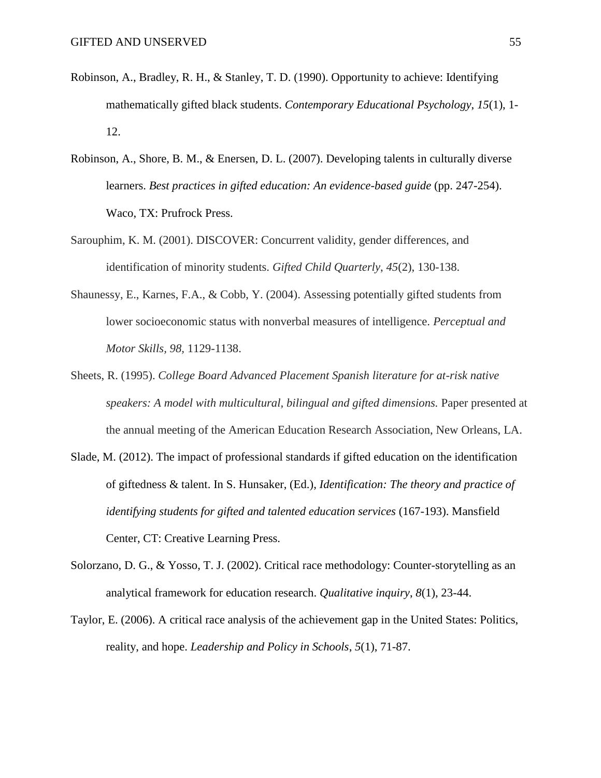- Robinson, A., Bradley, R. H., & Stanley, T. D. (1990). Opportunity to achieve: Identifying mathematically gifted black students. *Contemporary Educational Psychology*, *15*(1), 1- 12.
- Robinson, A., Shore, B. M., & Enersen, D. L. (2007). Developing talents in culturally diverse learners. *Best practices in gifted education: An evidence-based guide* (pp. 247-254). Waco, TX: Prufrock Press.
- Sarouphim, K. M. (2001). DISCOVER: Concurrent validity, gender differences, and identification of minority students. *Gifted Child Quarterly*, *45*(2), 130-138.
- Shaunessy, E., Karnes, F.A., & Cobb, Y. (2004). Assessing potentially gifted students from lower socioeconomic status with nonverbal measures of intelligence. *Perceptual and Motor Skills, 98,* 1129-1138.
- Sheets, R. (1995). *College Board Advanced Placement Spanish literature for at-risk native speakers: A model with multicultural, bilingual and gifted dimensions.* Paper presented at the annual meeting of the American Education Research Association, New Orleans, LA.
- Slade, M. (2012). The impact of professional standards if gifted education on the identification of giftedness & talent. In S. Hunsaker, (Ed.), *Identification: The theory and practice of identifying students for gifted and talented education services* (167-193). Mansfield Center, CT: Creative Learning Press.
- Solorzano, D. G., & Yosso, T. J. (2002). Critical race methodology: Counter-storytelling as an analytical framework for education research. *Qualitative inquiry*, *8*(1), 23-44.
- Taylor, E. (2006). A critical race analysis of the achievement gap in the United States: Politics, reality, and hope. *Leadership and Policy in Schools*, *5*(1), 71-87.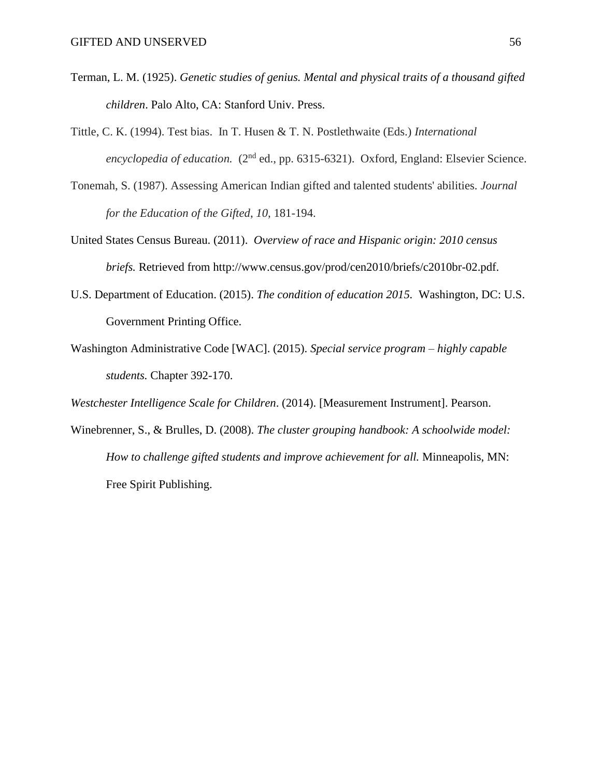- Terman, L. M. (1925). *Genetic studies of genius. Mental and physical traits of a thousand gifted children*. Palo Alto, CA: Stanford Univ. Press.
- Tittle, C. K. (1994). Test bias. In T. Husen & T. N. Postlethwaite (Eds.) *International encyclopedia of education.* (2<sup>nd</sup> ed., pp. 6315-6321). Oxford, England: Elsevier Science.
- Tonemah, S. (1987). Assessing American Indian gifted and talented students' abilities. *Journal for the Education of the Gifted*, *10,* 181-194.
- United States Census Bureau. (2011). *Overview of race and Hispanic origin: 2010 census briefs.* Retrieved from http://www.census.gov/prod/cen2010/briefs/c2010br-02.pdf.
- U.S. Department of Education. (2015). *The condition of education 2015.* Washington, DC: U.S. Government Printing Office.
- Washington Administrative Code [WAC]. (2015). *Special service program – highly capable students.* Chapter 392-170.

*Westchester Intelligence Scale for Children*. (2014). [Measurement Instrument]. Pearson.

Winebrenner, S., & Brulles, D. (2008). *The cluster grouping handbook: A schoolwide model: How to challenge gifted students and improve achievement for all. Minneapolis, MN:* Free Spirit Publishing.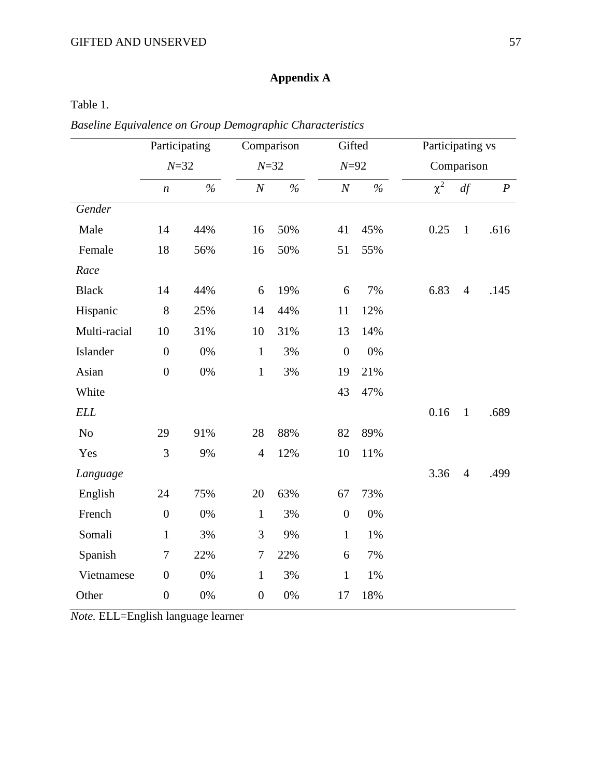# **Appendix A**

### Table 1.

*Baseline Equivalence on Group Demographic Characteristics*

|              | Participating<br>$N = 32$ |       |                  | Comparison |                  | Gifted |            | Participating vs |                  |  |
|--------------|---------------------------|-------|------------------|------------|------------------|--------|------------|------------------|------------------|--|
|              |                           |       | $N = 32$         |            | $N = 92$         |        | Comparison |                  |                  |  |
|              | $\boldsymbol{n}$          | $\%$  | $\cal N$         | $\%$       | $\boldsymbol{N}$ | $\%$   | $\chi^2$   | df               | $\boldsymbol{P}$ |  |
| Gender       |                           |       |                  |            |                  |        |            |                  |                  |  |
| Male         | 14                        | 44%   | 16               | 50%        | 41               | 45%    | 0.25       | $\mathbf{1}$     | .616             |  |
| Female       | 18                        | 56%   | 16               | 50%        | 51               | 55%    |            |                  |                  |  |
| Race         |                           |       |                  |            |                  |        |            |                  |                  |  |
| <b>Black</b> | 14                        | 44%   | 6                | 19%        | 6                | 7%     | 6.83       | $\overline{4}$   | .145             |  |
| Hispanic     | $8\,$                     | 25%   | 14               | 44%        | 11               | 12%    |            |                  |                  |  |
| Multi-racial | 10                        | 31%   | 10               | 31%        | 13               | 14%    |            |                  |                  |  |
| Islander     | $\boldsymbol{0}$          | 0%    | $\mathbf{1}$     | 3%         | $\boldsymbol{0}$ | 0%     |            |                  |                  |  |
| Asian        | $\boldsymbol{0}$          | $0\%$ | $\mathbf{1}$     | 3%         | 19               | 21%    |            |                  |                  |  |
| White        |                           |       |                  |            | 43               | 47%    |            |                  |                  |  |
| <b>ELL</b>   |                           |       |                  |            |                  |        | 0.16       | $\mathbf{1}$     | .689             |  |
| $\rm No$     | 29                        | 91%   | 28               | 88%        | 82               | 89%    |            |                  |                  |  |
| Yes          | 3                         | 9%    | $\overline{4}$   | 12%        | 10               | 11%    |            |                  |                  |  |
| Language     |                           |       |                  |            |                  |        | 3.36       | $\overline{4}$   | .499             |  |
| English      | 24                        | 75%   | 20               | 63%        | 67               | 73%    |            |                  |                  |  |
| French       | $\overline{0}$            | $0\%$ | $\mathbf{1}$     | 3%         | $\boldsymbol{0}$ | $0\%$  |            |                  |                  |  |
| Somali       | $\mathbf{1}$              | 3%    | 3                | 9%         | $\mathbf{1}$     | 1%     |            |                  |                  |  |
| Spanish      | $\tau$                    | 22%   | $\tau$           | 22%        | 6                | 7%     |            |                  |                  |  |
| Vietnamese   | $\boldsymbol{0}$          | $0\%$ | $\mathbf{1}$     | 3%         | $\mathbf 1$      | 1%     |            |                  |                  |  |
| Other        | $\boldsymbol{0}$          | 0%    | $\boldsymbol{0}$ | 0%         | 17               | 18%    |            |                  |                  |  |

*Note.* ELL=English language learner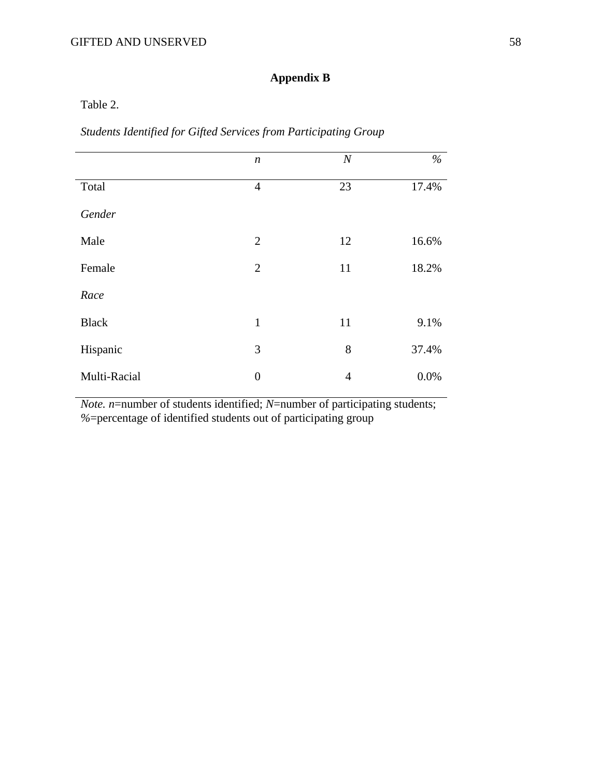## **Appendix B**

Table 2.

*Students Identified for Gifted Services from Participating Group*

|              | $\boldsymbol{n}$ | $\boldsymbol{N}$ | $\%$  |
|--------------|------------------|------------------|-------|
| Total        | $\overline{4}$   | 23               | 17.4% |
| Gender       |                  |                  |       |
| Male         | $\overline{2}$   | 12               | 16.6% |
| Female       | $\overline{2}$   | 11               | 18.2% |
| Race         |                  |                  |       |
| <b>Black</b> | $\mathbf{1}$     | 11               | 9.1%  |
| Hispanic     | 3                | 8                | 37.4% |
| Multi-Racial | $\boldsymbol{0}$ | $\overline{4}$   | 0.0%  |

*Note. n*=number of students identified; *N*=number of participating students; *%*=percentage of identified students out of participating group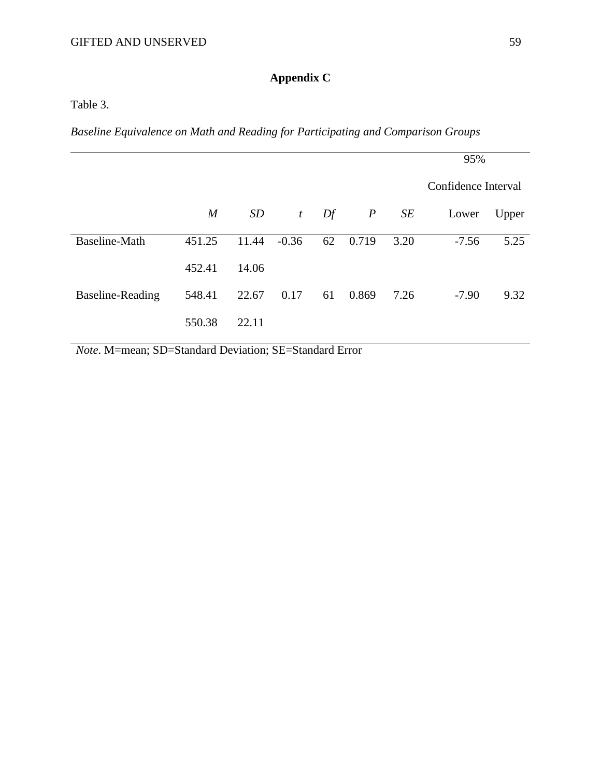# **Appendix C**

Table 3.

*Baseline Equivalence on Math and Reading for Participating and Comparison Groups*

|                  |                  |       |                  |    |                  |      | 95%                 |       |
|------------------|------------------|-------|------------------|----|------------------|------|---------------------|-------|
|                  |                  |       |                  |    |                  |      | Confidence Interval |       |
|                  | $\boldsymbol{M}$ | SD    | $\boldsymbol{t}$ | Df | $\boldsymbol{P}$ | SE   | Lower               | Upper |
| Baseline-Math    | 451.25           | 11.44 | $-0.36$          | 62 | 0.719            | 3.20 | $-7.56$             | 5.25  |
|                  | 452.41           | 14.06 |                  |    |                  |      |                     |       |
| Baseline-Reading | 548.41           | 22.67 | 0.17             | 61 | 0.869            | 7.26 | $-7.90$             | 9.32  |
|                  | 550.38           | 22.11 |                  |    |                  |      |                     |       |

*Note*. M=mean; SD=Standard Deviation; SE=Standard Error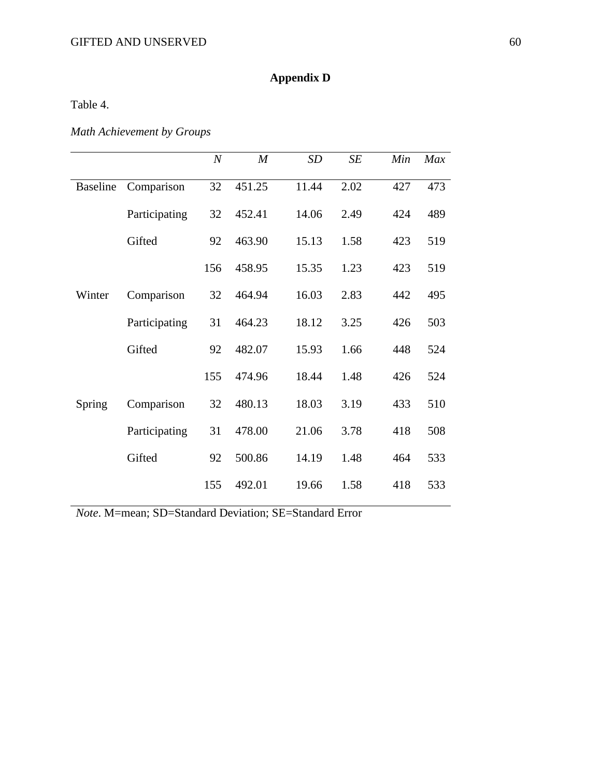# **Appendix D**

Table 4.

# *Math Achievement by Groups*

|                 |               | $\boldsymbol{N}$ | $\boldsymbol{M}$ | SD    | SE   | Min | Max |
|-----------------|---------------|------------------|------------------|-------|------|-----|-----|
| <b>Baseline</b> | Comparison    | 32               | 451.25           | 11.44 | 2.02 | 427 | 473 |
|                 | Participating | 32               | 452.41           | 14.06 | 2.49 | 424 | 489 |
|                 | Gifted        | 92               | 463.90           | 15.13 | 1.58 | 423 | 519 |
|                 |               | 156              | 458.95           | 15.35 | 1.23 | 423 | 519 |
| Winter          | Comparison    | 32               | 464.94           | 16.03 | 2.83 | 442 | 495 |
|                 | Participating | 31               | 464.23           | 18.12 | 3.25 | 426 | 503 |
|                 | Gifted        | 92               | 482.07           | 15.93 | 1.66 | 448 | 524 |
|                 |               | 155              | 474.96           | 18.44 | 1.48 | 426 | 524 |
| Spring          | Comparison    | 32               | 480.13           | 18.03 | 3.19 | 433 | 510 |
|                 | Participating | 31               | 478.00           | 21.06 | 3.78 | 418 | 508 |
|                 | Gifted        | 92               | 500.86           | 14.19 | 1.48 | 464 | 533 |
|                 |               | 155              | 492.01           | 19.66 | 1.58 | 418 | 533 |

*Note*. M=mean; SD=Standard Deviation; SE=Standard Error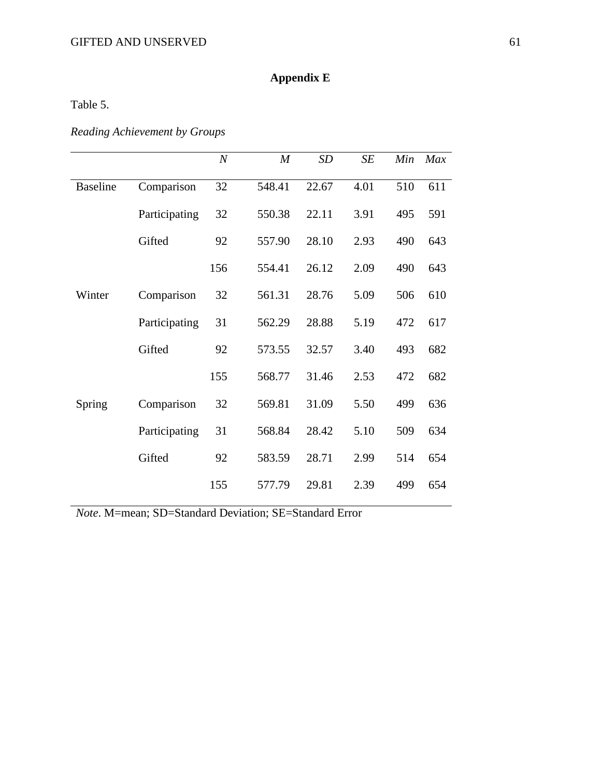### GIFTED AND UNSERVED 61

# **Appendix E**

Table 5.

# *Reading Achievement by Groups*

|                 |               | $\boldsymbol{N}$ | $\boldsymbol{M}$ | SD    | SE   | Min | Max |
|-----------------|---------------|------------------|------------------|-------|------|-----|-----|
| <b>Baseline</b> | Comparison    | 32               | 548.41           | 22.67 | 4.01 | 510 | 611 |
|                 | Participating | 32               | 550.38           | 22.11 | 3.91 | 495 | 591 |
|                 | Gifted        | 92               | 557.90           | 28.10 | 2.93 | 490 | 643 |
|                 |               | 156              | 554.41           | 26.12 | 2.09 | 490 | 643 |
| Winter          | Comparison    | 32               | 561.31           | 28.76 | 5.09 | 506 | 610 |
|                 | Participating | 31               | 562.29           | 28.88 | 5.19 | 472 | 617 |
|                 | Gifted        | 92               | 573.55           | 32.57 | 3.40 | 493 | 682 |
|                 |               | 155              | 568.77           | 31.46 | 2.53 | 472 | 682 |
| Spring          | Comparison    | 32               | 569.81           | 31.09 | 5.50 | 499 | 636 |
|                 | Participating | 31               | 568.84           | 28.42 | 5.10 | 509 | 634 |
|                 | Gifted        | 92               | 583.59           | 28.71 | 2.99 | 514 | 654 |
|                 |               | 155              | 577.79           | 29.81 | 2.39 | 499 | 654 |

*Note*. M=mean; SD=Standard Deviation; SE=Standard Error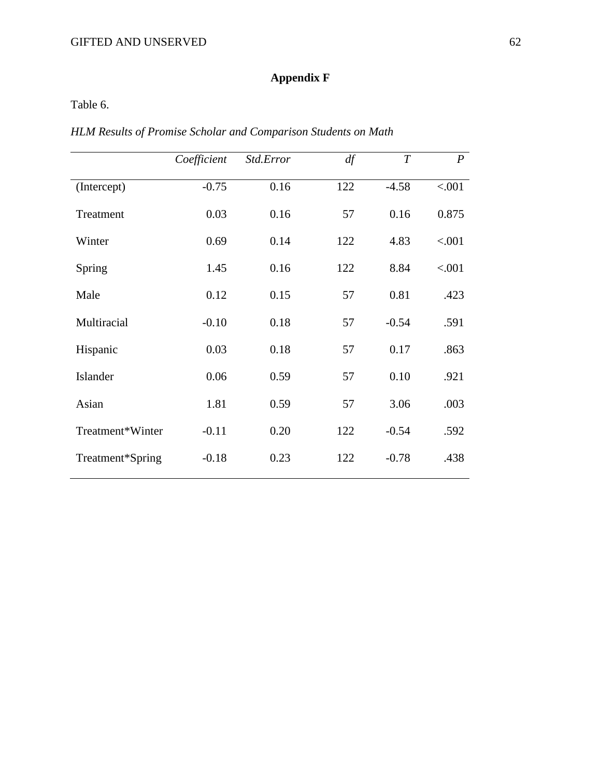# **Appendix F**

Table 6.

*HLM Results of Promise Scholar and Comparison Students on Math*

|                  | Coefficient | Std.Error | df  | $\overline{T}$ | $\boldsymbol{P}$ |
|------------------|-------------|-----------|-----|----------------|------------------|
| (Intercept)      | $-0.75$     | 0.16      | 122 | $-4.58$        | < .001           |
| Treatment        | 0.03        | 0.16      | 57  | 0.16           | 0.875            |
| Winter           | 0.69        | 0.14      | 122 | 4.83           | < .001           |
| Spring           | 1.45        | 0.16      | 122 | 8.84           | < .001           |
| Male             | 0.12        | 0.15      | 57  | 0.81           | .423             |
| Multiracial      | $-0.10$     | 0.18      | 57  | $-0.54$        | .591             |
| Hispanic         | 0.03        | 0.18      | 57  | 0.17           | .863             |
| Islander         | 0.06        | 0.59      | 57  | 0.10           | .921             |
| Asian            | 1.81        | 0.59      | 57  | 3.06           | .003             |
| Treatment*Winter | $-0.11$     | 0.20      | 122 | $-0.54$        | .592             |
| Treatment*Spring | $-0.18$     | 0.23      | 122 | $-0.78$        | .438             |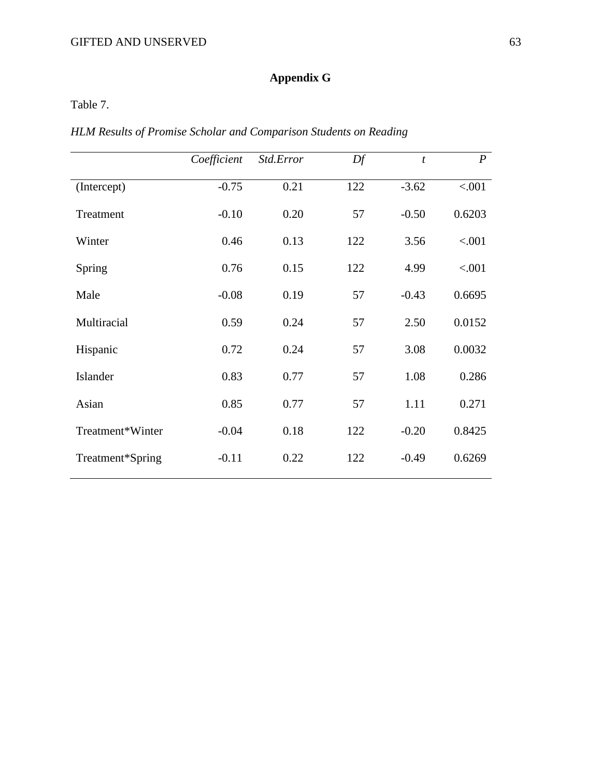# **Appendix G**

Table 7.

*HLM Results of Promise Scholar and Comparison Students on Reading*

|                  | Coefficient | Std.Error | Df  | $\boldsymbol{t}$ | $\boldsymbol{P}$ |
|------------------|-------------|-----------|-----|------------------|------------------|
| (Intercept)      | $-0.75$     | 0.21      | 122 | $-3.62$          | < .001           |
| Treatment        | $-0.10$     | 0.20      | 57  | $-0.50$          | 0.6203           |
| Winter           | 0.46        | 0.13      | 122 | 3.56             | < .001           |
| Spring           | 0.76        | 0.15      | 122 | 4.99             | < .001           |
| Male             | $-0.08$     | 0.19      | 57  | $-0.43$          | 0.6695           |
| Multiracial      | 0.59        | 0.24      | 57  | 2.50             | 0.0152           |
| Hispanic         | 0.72        | 0.24      | 57  | 3.08             | 0.0032           |
| Islander         | 0.83        | 0.77      | 57  | 1.08             | 0.286            |
| Asian            | 0.85        | 0.77      | 57  | 1.11             | 0.271            |
| Treatment*Winter | $-0.04$     | 0.18      | 122 | $-0.20$          | 0.8425           |
| Treatment*Spring | $-0.11$     | 0.22      | 122 | $-0.49$          | 0.6269           |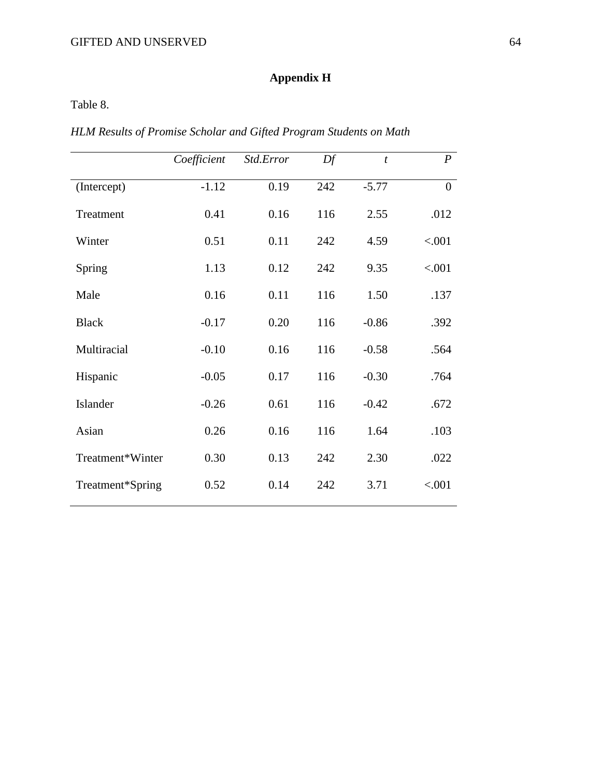## **Appendix H**

Table 8.

*HLM Results of Promise Scholar and Gifted Program Students on Math*

|                  | Coefficient | Std.Error | Df  | $\mathfrak{t}$ | $\boldsymbol{P}$ |
|------------------|-------------|-----------|-----|----------------|------------------|
| (Intercept)      | $-1.12$     | 0.19      | 242 | $-5.77$        | $\boldsymbol{0}$ |
| Treatment        | 0.41        | 0.16      | 116 | 2.55           | .012             |
| Winter           | 0.51        | 0.11      | 242 | 4.59           | < .001           |
| Spring           | 1.13        | 0.12      | 242 | 9.35           | < .001           |
| Male             | 0.16        | 0.11      | 116 | 1.50           | .137             |
| <b>Black</b>     | $-0.17$     | 0.20      | 116 | $-0.86$        | .392             |
| Multiracial      | $-0.10$     | 0.16      | 116 | $-0.58$        | .564             |
| Hispanic         | $-0.05$     | 0.17      | 116 | $-0.30$        | .764             |
| Islander         | $-0.26$     | 0.61      | 116 | $-0.42$        | .672             |
| Asian            | 0.26        | 0.16      | 116 | 1.64           | .103             |
| Treatment*Winter | 0.30        | 0.13      | 242 | 2.30           | .022             |
| Treatment*Spring | 0.52        | 0.14      | 242 | 3.71           | < .001           |